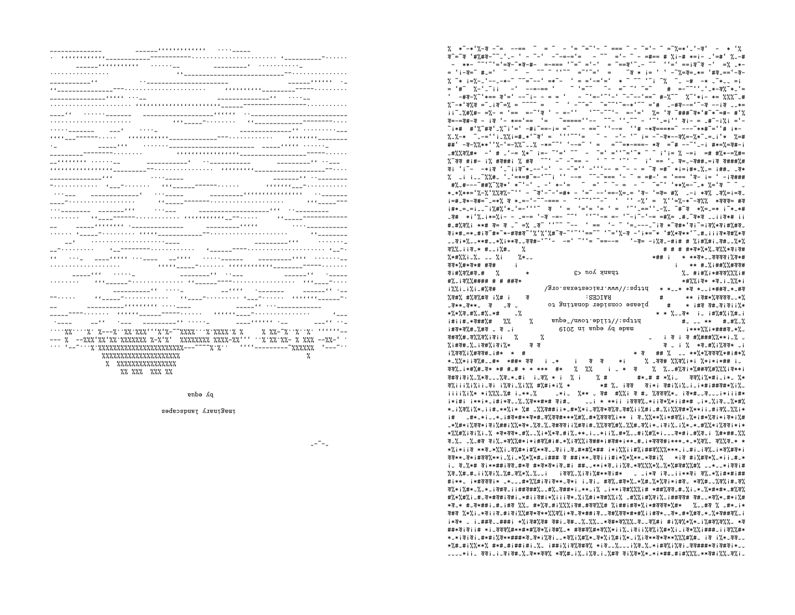. **. . . . . . . . . . . . . . . .** .  $\alpha_{\texttt{1}}$  ,  $\alpha_{\texttt{2}}$  ,  $\alpha_{\texttt{3}}$  ,  $\alpha_{\texttt{4}}$  ,  $\alpha_{\texttt{5}}$  ,  $\alpha_{\texttt{6}}$  ,  $\alpha_{\texttt{5}}$  ,  $\alpha_{\texttt{6}}$  ,  $\alpha_{\texttt{6}}$  ,  $\alpha_{\texttt{5}}$  ,  $\alpha_{\texttt{6}}$  ,  $\alpha_{\texttt{7}}$  ,  $\alpha_{\texttt{8}}$  ,  $\alpha_{\texttt{8}}$  ,  $\alpha_{\texttt{9}}$  ,  $\alpha_{\texttt{10}}$ المحتجب المعطي المستشفين والمنتج  $\begin{minipage}{0.9\textwidth} \begin{minipage}{0.9\textwidth} \centering \begin{tabular}{|l|l|} \hline $c_1$ & $c_2$ & $c_3$ & $c_4$ & $c_5$ & $c_6$ & $c_6$ & $c_7$ \\ \hline $c_1$ & $c_6$ & $c_6$ & $c_6$ & $c_6$ & $c_6$ & $c_6$ & $c_6$ & $c_6$ & $c_6$ & $c_6$ \\ \hline $c_1$ & $c_6$ & $c_6$ & $c_6$ & $c_6$ & $c_6$ & $c_6$ & $c_6$ & $c_6$ &$  $\leftarrow$   $\leftarrow$   $\leftarrow$   $\leftarrow$   $\leftarrow$   $\leftarrow$   $\leftarrow$   $\leftarrow$   $\leftarrow$   $\leftarrow$   $\leftarrow$   $\leftarrow$   $\leftarrow$   $\leftarrow$   $\leftarrow$   $\leftarrow$   $\leftarrow$   $\leftarrow$   $\leftarrow$   $\leftarrow$   $\leftarrow$   $\leftarrow$   $\leftarrow$   $\leftarrow$   $\leftarrow$   $\leftarrow$   $\leftarrow$   $\leftarrow$   $\leftarrow$   $\leftarrow$   $\leftarrow$   $\leftarrow$   $\leftarrow$   $\leftarrow$   $\leftarrow$   $\leftarrow$   $\leftarrow$  $\pm\pm\epsilon$  . The experimental contract the set of  $\pm\pm\epsilon$  $\begin{picture}(150,10) \put(0,0){\vector(1,0){100}} \put(0,0){\vector(1,0){100}} \put(0,0){\vector(1,0){100}} \put(0,0){\vector(1,0){100}} \put(0,0){\vector(1,0){100}} \put(0,0){\vector(1,0){100}} \put(0,0){\vector(1,0){100}} \put(0,0){\vector(1,0){100}} \put(0,0){\vector(1,0){100}} \put(0,0){\vector(1,0){100}} \put(0,0){\vector(1,0){100}} \put(0,0){\vector($  $\overbrace{ \hspace{2.5cm} \text{---}}^{(i)}$  $\overline{\phantom{a}}$   $\overline{\phantom{a}}$   $\overline{\phantom{a}}$   $\overline{\phantom{a}}$   $\overline{\phantom{a}}$   $\overline{\phantom{a}}$   $\overline{\phantom{a}}$   $\overline{\phantom{a}}$   $\overline{\phantom{a}}$   $\overline{\phantom{a}}$   $\overline{\phantom{a}}$   $\overline{\phantom{a}}$   $\overline{\phantom{a}}$   $\overline{\phantom{a}}$   $\overline{\phantom{a}}$   $\overline{\phantom{a}}$   $\overline{\phantom{a}}$   $\overline{\phantom{a}}$   $\overline{\$  $\frac{1}{2}$   $\frac{1}{2}$   $\frac{1}{2}$   $\frac{1}{2}$   $\frac{1}{2}$   $\frac{1}{2}$   $\frac{1}{2}$   $\frac{1}{2}$   $\frac{1}{2}$   $\frac{1}{2}$   $\frac{1}{2}$   $\frac{1}{2}$   $\frac{1}{2}$   $\frac{1}{2}$   $\frac{1}{2}$  $\begin{minipage}{0.9\textwidth} \begin{minipage}{0.9\textwidth} \begin{itemize} \color{blue}{0.9\textwidth} \begin{itemize} \color{blue}{0.9\textwidth} \begin{itemize} \color{blue}{0.9\textwidth} \begin{itemize} \color{blue}{0.9\textwidth} \begin{itemize} \color{blue}{0.9\textwidth} \begin{itemize} \color{blue}{0.9\textwidth} \begin{itemize} \color{blue}{0.9\textwidth} \begin{itemize} \color{blue}{0.9\textwidth} \begin{itemize} \color{blue}{0.9\textwidth} \begin{itemize} \color{blue}{0.9\textwidth} \begin{itemize} \color{blue}{0$  $\mathbb{E}[\mathbb{E}^{G_{\mathcal{L}}_{\mathcal{L}}}] = \mathbb{E}[\mathbb{E}[\mathbb{E}[\mathbb{E}[\mathbb{E}^{G_{\mathcal{L}}}] \mathbb{E}^{G_{\mathcal{L}}}] \mathbb{E}^{G_{\mathcal{L}}}] = \mathbb{E}[\mathbb{E}[\mathbb{E}[\mathbb{E}^{G_{\mathcal{L}}}] \mathbb{E}^{G_{\mathcal{L}}}] \mathbb{E}^{G_{\mathcal{L}}}] = \mathbb{E}[\mathbb{E}^{G_{\mathcal{L}}}] \mathbb{E}^{G_{\mathcal{L}}}]$ % % %%%%%%%%%%%%%%%  $\frac{1}{2}$   $\frac{1}{2}$   $\frac{1}{2}$   $\frac{1}{2}$   $\frac{1}{2}$   $\frac{1}{2}$   $\frac{1}{2}$   $\frac{1}{2}$   $\frac{1}{2}$   $\frac{1}{2}$   $\frac{1}{2}$   $\frac{1}{2}$   $\frac{1}{2}$   $\frac{1}{2}$   $\frac{1}{2}$   $\frac{1}{2}$   $\frac{1}{2}$   $\frac{1}{2}$   $\frac{1}{2}$   $\frac{1}{2}$   $\frac{1}{2}$   $\frac{1}{2}$ 

## enbə *f*a

imaginary landscapes

 $\downarrow$  -  $\bar{\phantom{a}}$  -  $\downarrow$ 

 $\% \quad *^- \cdot * \ ^{\epsilon} \ \% \cdot \ \ \mathcal R \ \ \text{---} = \quad \text{---} = \quad \quad = \quad \quad - \quad \epsilon = \text{---} = \text{---} \quad \quad = \quad \text{---} \quad \text{---} \quad \text{---} \quad \text{---} \quad \text{---} \quad \text{---} \quad \text{---} \quad \text{---} \quad \text{---} \quad \text{---} \quad \text{---} \quad \text{---} \quad \text{---} \quad \text{---} \quad \text{---} \quad \text{---} \quad \text{---} \quad \text{---} \quad \text{---} \quad \text{---} \quad \text{---} \quad$ .<br>??==¯?? ´#%#??= ̄ ̄ `、 - ` - ̄-‐´ – ̄-=-=´= – ̄ ̄ =´- ̄ - =#== # %;-# \*=;- 、´=#` % -+  $\begin{array}{cccccccccccccc} \gamma_6 & * & i = \gamma_6 - \sqrt{1} & - \sqrt{1} & - \sqrt{1} & - \sqrt{1} & - \sqrt{1} & - \sqrt{1} & - \sqrt{1} & - \sqrt{1} & - \sqrt{1} & - \sqrt{1} & - \sqrt{1} & - \sqrt{1} & - \sqrt{1} & - \sqrt{1} & - \sqrt{1} & - \sqrt{1} & - \sqrt{1} & - \sqrt{1} & - \sqrt{1} & - \sqrt{1} & - \sqrt{1} & - \sqrt{1} & - \sqrt{1} & - \sqrt{1} & - \sqrt{1} & - \sqrt{1} & - \sqrt{1} & - \sqrt{1} &$  $x^2 - x^2 - x^3 - x^4 = 0$ <br>  $x^3 - x^4 - x^3 - x^5 = 0$ <br>  $x^4 - x^3 - x^2 - x^3 - x^4 = 0$ <br>  $x^3 - x^4 - x^3 - x^2 - x^3 - x^4 = 0$ <br>  $x^4 - x^2 - x^3 - x^4 = 0$ <br>  $x^3 - x^4 - x^3 - x^2 - x^3 - x^4 = 0$ <br>  $x^4 - x^2 - x^3 - x^4 = 0$ <br>  $x^2 - x^4 - x^3 - x^2 - x^3 - x^2 - x^2 - x^3 - x^2 - x^2 - x^3 - x^$  $i i \bar{z}$  ,  $k\bar{k}$  +  $k\bar{k}$  +  $k\bar{k}$  +  $k\bar{k}$  +  $k\bar{k}$  +  $k\bar{k}$  +  $k\bar{k}$  +  $k\bar{k}$  +  $k\bar{k}$  +  $k\bar{k}$  +  $k\bar{k}$  +  $k\bar{k}$  +  $k\bar{k}$  +  $k\bar{k}$  +  $k\bar{k}$  +  $k\bar{k}$  +  $k\bar{k}$  +  $k\bar{k}$  +  $k\bar{k}$  +  $k\bar{k}$  +  $k\bar{k}$  +  $\mathcal{R}=-\mathcal{R} \# - \mathcal{R} \ = \ \mathbf{i} \ \mathcal{R} \ \ ^{\epsilon} - \ \ast = \mathbf{i} \ = \ \ ^{\epsilon} = \ \ ^{\epsilon} = \ \ ^{\epsilon} = \mathbf{i} \ = \mathbf{i} \ = \mathbf{i} \ = \mathbf{i} \ = \mathbf{i} \ = \mathbf{i} \ = \mathbf{i} \ = \mathbf{i} \ = \mathbf{i} \ = \mathbf{i} \ = \mathbf{i} \ = \mathbf{i} \ = \mathbf{i} \ = \mathbf{i} \ = \mathbf{i} \ = \mathbf{i} \ = \mathbf{i} \ = \mathbf{i} \ = \mathbf{i} \ = \mathbf{i} \ = \mathbf{i$ ##' -?o−%%\*\*''%-'=−%%¯◡% -\*=¯¯' '--=¯ ' = =¯=≠-===− \*? =¯# --¯' ∪-i #\*=%=?#+-i \*-\*/\*\*=-'/-'/,''//,'27/--'' - - 7g'---'-#\* - '=' ---'==-'/=\_= '2- + 2+' --' + 27', -27'= i=2\_<br>i=#-2\*-2#=-'\_=\*', 2\* \*\_=-'---=== - - - - - ----- - ' -' --' + 2\* -2\*', \*2\*22= #2 i#\*J=J=iJJ<sup>-</sup>i%#%'\*J'=-'''<sup>-</sup> 2 ' = '='='=' = '<sup>-</sup>'J==''J-%J <sup>-</sup>#<sup>-</sup>2 \*%=J=\* i<sup>-</sup>\*J\*#  $\frac{1}{3}$  $331*%$  $3\%$ %-ii $3 - *$  #-i%#- % # # # #\*\*\*\*\*\*\*\*\*\*\*\*\*\*\*\*\*\*  $\frac{1}{2}$  \* #  $\frac{1}{2}$   $\frac{1}{2}$   $\frac{1}{2}$   $\frac{1}{2}$   $\frac{1}{2}$   $\frac{1}{2}$   $\frac{1}{2}$   $\frac{1}{2}$   $\frac{1}{2}$   $\frac{1}{2}$   $\frac{1}{2}$   $\frac{1}{2}$   $\frac{1}{2}$   $\frac{1}{2}$   $\frac{1}{2}$   $\frac{1}{2}$   $\frac{1}{2}$   $\frac{1}{2}$   $\frac{1}{2}$   $\frac{1}{2}$   $\frac{1}{2$ \*## i \* \*\*\*\*--7878781%78\*# 2323\*%#\*23\*##23#i i \*\* #~%i##%%#?8?# 28i#%28%#28\_#% thank you <3  $\% - \# i \# \% i * \# \mathfrak{B} \%\% \% i \#$  $\overline{\phantom{a}}$  $\#$ %~ i 3%%#### # # ###3\* \*#%%i%\* \*&~i~%%\*i  $1\%$   $\%$  i  $\sim$  i  $\%$  i  $\sim$  #%  $\%$  #  $\frac{9}{2}$   $\frac{24}{2}$   $\frac{4}{2}$   $\frac{1}{2}$   $\frac{29}{2}$   $\frac{1}{2}$   $\frac{29}{2}$   $\frac{1}{2}$   $\frac{1}{2}$   $\frac{1}{2}$   $\frac{1}{2}$   $\frac{1}{2}$   $\frac{1}{2}$   $\frac{1}{2}$ **RAICES:** # \*\* i 3 # \* 3 2 3 2 3 2 3 4 %  $\begin{array}{ccc} \mathbf{-28} \ast \ast \mathbf{-3} \ast \ast \mathbf{-1} & \mathbf{-3} & \mathbf{-3} & \mathbf{-4} \end{array}$ please consider donating to # \* i#28 28#~28 i28 ii% \*  $*$ % $*$ % $*$ % $-$ #% $-$ #% $-$ \*# $\qquad 0$ % \* \* % - - 28 \* i - i #% #% i % # - i i#ii#~\*&##%# %%  $\gamma$ aupe"//tilde.town/"equa # - - - \*\* # - #% - %  $i$ #3\*3%#~%#3 ~ 3 ~i 0102 ai supe yd ebsm i\*\*\*%%i\*###8~\*%~ 28#28%#~28%%28%i28ii % %  $\sim$  i  $\frac{20}{3}$  i  $\frac{20}{3}$  #%###%%\*\*i  $\frac{20}{3}$   $\sim$  $\%$ i#  $\frac{24}{3}$   $\frac{1}{2}$   $\frac{24}{3}$   $\frac{1}{2}$   $\frac{2}{3}$   $\frac{1}{2}$   $\frac{1}{2}$   $\frac{1}{2}$   $\frac{1}{2}$   $\frac{1}{2}$   $\frac{1}{2}$   $\frac{1}{2}$   $\frac{1}{2}$   $\frac{1}{2}$   $\frac{1}{2}$   $\frac{1}{2}$   $\frac{1}{2}$   $\frac{1}{2}$   $\frac{1}{2}$   $\frac{1}{2}$   $\frac{1}{2}$   $\$ 2? ↓ i % \*?↓#%i%???\* ↓i i%???%i%#???#Ji#\* \* # \* 28 ## % \_\_ \*\*%\*%2828%\*#i#\*% \*~%%\*ii?%#~~#\* \*##\* ??? i ~\* i ?? ?? \*i %~???# %%?%i\*i%\*i\*i\*## i~ 7373%、i\*#%#、7\* \*# #、# \* \* \*\*\* #\* % %% i 、 \* 73 % %、 -#%?i\*%##?%#%%%i7\*\*i 3?#3?j3?j%。%\*3?。。。%3?、\*。#i i。38% \* i % i %# #\*。# #\*。# \*%j。 3?3%j%\*#j。j\*。 %\* ??%iii%i%ii⊃?i i%?i֊%i%% #%#i\*i% \* \*# %。 i2828 28 i \* i 28#i%i%。i 。i \*#i ##28#\*%i%。 i\*i#i i\*\*i\*Ji#i\*8JJ%J%8\*\*#\*# 8i#J JJi \* \*\*ii i8888%J\*ii8\*%\*ii#\*# Ji\*J%i8JJ%##% \*~i%?%i%\*~ii#~\*\*%i\* %# ~%%?##ii\*~#\*%\*i~?%?\*?%?~?#%ii%#i~#~%i%%?#\*%\*\*ii~#i?%~%%i\* i# J#\*J\*jJJ\*Jj#3\*##\*\*3\*#J3%33#\*\*\*\*%#%J#\*%3339%j\*\*\* i 3-%%\*\*%j\*#3%jJ%\*i#\*%3j\*j3#j%#j \_\*%#\*i%33\*i3}}##i%%\*3\*-%3\_%\_3#33ii%#3i#\_%%33%#%\_%%#\_3%i\*\_i3:i%\_i%\*\_\*\_#%%\*i%33i\*-\*%%#%i%i%i~% \*&\*&&\*~#%~~%i\*%\*&~#i%~\*\*~i~~\*ii%~#\*%~~#i%#%\*i~~~&\*#i~#%&\_i=%#\*##~%% 78.%. .%.#? ?i%.\*?%%#\*i\*i#?%#i#.\*%i?%%i?##\*i#?#\*i\*\*.#.i\*???##i\*\*\*.\*.\*.\*??%! ??%%? \*%i\*ii? \*\*?~\*%%i~??#\*i#%\*\*?~~?ii~?~#\*#%\*## i\*i%%ii#%i##?%%%\*\*\*~i~#i~i?%~i\*?%#?\*i 33\*\*\*J3\*i#33%\*\*iJ%iJ\*%\*\*\*Ji### 3 ##i\*\*J33iii#i\*%\*%\*\*J\*3#i% \*i3 #i%#3\*%J\*iJ#J\* %%~%#~#~ii%%i%~%#~%%\*%~%~~i i3%%~%i3%i%#\*\*8i#\* ~ ~i\*3%i3~~ii\*\*3%~\*%i#\*#i## #i\*\*、i\*#333i\* J\*JJJ#\*%%#i3i3\*\*J3\*i iJ3iJ #3%J#3\*%J\*%#J%\*%3i\*i#3J \*3%#J~%3%i#J} 3%\*i%#\*J%J\*Ji?#3Jii##3##%JJ#%J8##\*iJ\*\*Jj% Ji\*\*i?\$#%%%i# \*##%33J#J%iJ\*J%##\*#\*J#%3% #%\*%#%iU#J&\*#&#iQ#iU\*#ii&##iiQ##i\*%iiiQ\*J%#i\*Q#%%i%U#%%i#%@i%Ui##@@# \*3.\*\* #~3\*##i~#~i#3 %%~ #\*%3~#i%%%i3#~#33%%# %i##i#3\*%i\*#333\*%#\* %~+#3 % +\*\*~i\* 3#3 %\*%iJ\*3ii3J#7%j%%#3\*3\*\*%%3%i\*3J\$##i3\_3\*##i3\_3#%3\$####%ii#3\*JJ\$\*J#\*%#3J\*J%\*3##3%Ji i\*?\* 。 i、##?。、###i \*%i?#%?# ?#i、?#-..%.%%、、\*?#\*?%%%、?~.?%#i #i%?%\*%\*、i%#?%?%%、 \*? \*~\*i?i?i?i~#\*#i%?\*\*###\*?~?\*i%?i~\*?%i%#%\*\_?\*%i%#i%\*\_i%i?\*\*?\*\*\*\*\*\*\*\*\*\*\*\*\*\*\*\*\*\*\*\*\*\*\* \*%#~#i%%\*\*% #\*#~#i##i#!~%~ i##i%i?%?#?% \*i?~~%~~~i%?~%~\*i#?%i%?i~??###\*?i?#?i\*~~ UUUWii」 888iUiV#U%J8\*\*88% \*8%#Ji%Ji%8JiV%#8 8i%8\*%\*J\*i\*##J#i#%%%J\*\*8#i%%JY%JY;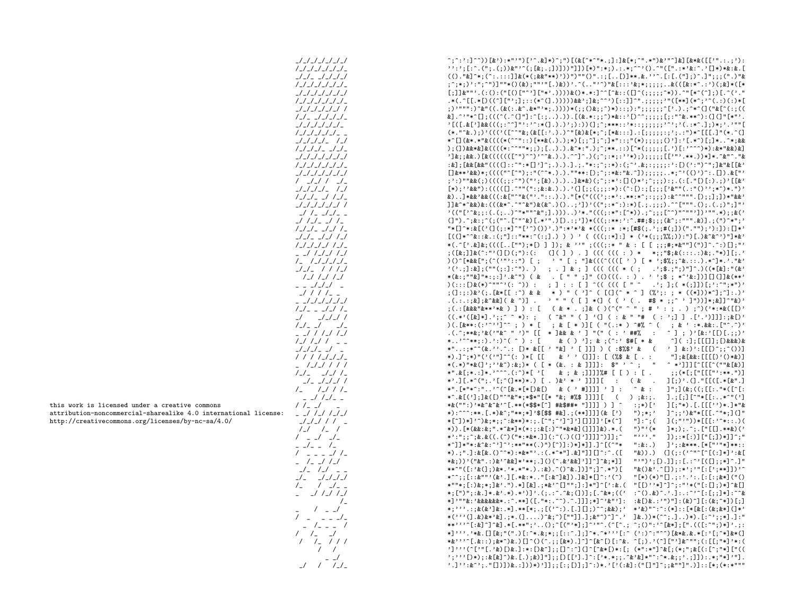|                                                                                        | ^;^:':]^^))[&'):*"'")['^.&]*)^;")[(&[^*^"*.;]:]&[*;^".*")&'"^]&][&*&([['".:.;'):                                                                                                                                                                                                                                                                                                                                                                                               |
|----------------------------------------------------------------------------------------|--------------------------------------------------------------------------------------------------------------------------------------------------------------------------------------------------------------------------------------------------------------------------------------------------------------------------------------------------------------------------------------------------------------------------------------------------------------------------------|
|                                                                                        | '':'; [:^.(";.(;))&"'^(;[&;.;])]))"]])[*)":*;).:.*;^^'().^"([".:*'&:^.'[]*)*&:&.[                                                                                                                                                                                                                                                                                                                                                                                              |
|                                                                                        | (()."&]^*;(^:.:::]]&(*(;&&"**)'))")""()".:;[[)]**.&.''^.[:[.("];)^.]";;;(".)"&                                                                                                                                                                                                                                                                                                                                                                                                 |
|                                                                                        | ;^;*;)):";^")]""*()(&);""'"[.)&))'.^("'^)"&[:::'&;*;;;;;&(([&:*^.:')(;&]*([*                                                                                                                                                                                                                                                                                                                                                                                                   |
|                                                                                        | [;]]&""'.(:():("[()["^']["*'.))))&()*.*:]^^[^&::([]^(;;;;;^*)).^"[*^(^];)[.^('."                                                                                                                                                                                                                                                                                                                                                                                               |
|                                                                                        | .*(.^[[.*[)((^]["';];::(*^(].)))))&&';]&;^^')[::]]^".;;;;;'"([**](*^;'^(.:)(:)*[                                                                                                                                                                                                                                                                                                                                                                                               |
|                                                                                        |                                                                                                                                                                                                                                                                                                                                                                                                                                                                                |
|                                                                                        | ;)'""":)^&"((.(&(:.&^.&*"'*;.))))*(;;()&;;^)*)::;):";;;;;;^['.).;^*^(]("&[^(:;((                                                                                                                                                                                                                                                                                                                                                                                               |
|                                                                                        |                                                                                                                                                                                                                                                                                                                                                                                                                                                                                |
|                                                                                        | ,<br>'[([.&[']&&(((;:^^]"':'^:*(].).)';):))(];^;***::'*::;;;;;;;'^';'(.:*^.];)*;'.'""[                                                                                                                                                                                                                                                                                                                                                                                         |
|                                                                                        | $(*. "^k.); )' (((?([^{\frown} "k; (k[[:'.). )` "[k]k[*;^; [**k: : : ] : [;;;;;;;; '; ");^*] * "[[[. ]"(*. ^[]$                                                                                                                                                                                                                                                                                                                                                                |
|                                                                                        | *^[](&*.*"&((((*(^^"::)[**&(.).);*)[;;^];^;]*"::;"(*);;;;;()']:'[.*^)[;]*^*;&&                                                                                                                                                                                                                                                                                                                                                                                                 |
|                                                                                        | );(])&&*&]&((((*:^^""*;;);[).).&^*:".);^;**.::)[^*(;;;;;[.')[:'^^^)*):&*"&&)&]                                                                                                                                                                                                                                                                                                                                                                                                 |
|                                                                                        | ']&;;&&.)[&((((([^")^^)'^^&.).).^^]^.)(;^;:*;:''*););;;;;[['"'.**.))*]*.^&"^."&                                                                                                                                                                                                                                                                                                                                                                                                |
|                                                                                        | :&];[&&[&&"((((]::^":*[]']^;.).).].;."*:;^;:*):(;^'.&;:;;;;:':[)(':")^";]&"&[[&'                                                                                                                                                                                                                                                                                                                                                                                               |
|                                                                                        | $[] & \& * * ' & \& * ; ((((" " [ " ] , : " ( " * . ) . ) . " " ** : [ ); " ; : * & : " & . " ] ); ; ; ; ; ; : . * ; " ' ( )) ' ) : . [] ) . & [] "$                                                                                                                                                                                                                                                                                                                           |
|                                                                                        | ;':)""&&(;)((((;;:^")("';[&).).)]&*&)(;^;:*':[]()*';^;;;):;.(:[."[)[:).;)'[[&'                                                                                                                                                                                                                                                                                                                                                                                                 |
|                                                                                        |                                                                                                                                                                                                                                                                                                                                                                                                                                                                                |
|                                                                                        | $(*)$ ;''&&"): $((([] . \n "(" : ; * & : & .). .) .'[][:, (;; :; *): (-[] : ;[:, ; [ ' & w" " ( . : " () ' ' ; * ^{*} * . " )'$                                                                                                                                                                                                                                                                                                                                                |
|                                                                                        | &)]*&&'&&(((:&["^"&("'."::.).)."[*("(((';:*':.**:*^;;;;;):&^^""".[);;];])*"&&'                                                                                                                                                                                                                                                                                                                                                                                                 |
|                                                                                        | $\left[\right]$ $\&$ $\ast$ $\ast$ $\&$ $\&$ $\&$ $\left(\left(\left(\&\ast\right.^{n\circ\ast},\&\right)\&\left(\&\ast\right)^{n}\right)$ $\&$ $\left(\&\ast\right)^{n}\right)$ $\left(\left(\left(\right,\ast\right)^{n}\right)^{n}\right)$ $\left(\left(\left(\left(\right,\ast\right)^{n}\right),\ast\right)^{n}\right)$ $\left(\left(\left(\left(\right,\ast\right)^{n}\right),\ast\right)^{n}\right)$ $\left(\left(\left(\left(\right,\ast\right)^{n}\right)^{n}\right)$ |
|                                                                                        | '(("['^&;;:(.(;)^"*""^&";].))))'*."(((;:*":[^*)).;^;;;[^^)"^""'])'"".*);;&('                                                                                                                                                                                                                                                                                                                                                                                                   |
|                                                                                        | (]").^;&:;^(;("^.[^"^&)[.*'".)[).:;'])*(((;:**:':^.##;\$;;;(&^;:""".&)].;(")^*";'                                                                                                                                                                                                                                                                                                                                                                                              |
|                                                                                        | "*[]^*:&[('(](;:*]^"['^)())'.)":*'*'& *(((;:* :*;[#\$(;.';;#(;])("."");'):]):[]*'                                                                                                                                                                                                                                                                                                                                                                                              |
|                                                                                        |                                                                                                                                                                                                                                                                                                                                                                                                                                                                                |
|                                                                                        | *(.^['.&]&;((([["");*[) ] ]); & ''" ;(((;:* " & : [ [ ;;;#;*&""](")]^.^:)[];"'                                                                                                                                                                                                                                                                                                                                                                                                 |
| $; ([&;]]&(^{\circ}: "\cdot( ] [)(;");(:;$                                             | $(1(1) . 1)((1(1)) *$<br>$*$ ;;"\$; & (:::.:) &;."*)][;.'                                                                                                                                                                                                                                                                                                                                                                                                                      |
| $)( )^{\wedge}$ [*&&[";(^('"'::") [;                                                   | ' " [ ; "]&(((^((([ ' ) [ * ';\$%;;^&.::.).*^]*.'."&'                                                                                                                                                                                                                                                                                                                                                                                                                          |
| '('.;]:&];(""(;:]:^").)                                                                | $\begin{bmatrix} 1 & k & ; & 1 \end{bmatrix}$ (((((((((((((((((((())))));)((*[k]:"(k)                                                                                                                                                                                                                                                                                                                                                                                          |
|                                                                                        |                                                                                                                                                                                                                                                                                                                                                                                                                                                                                |
| *(&:;""&]"*:;:]'.&^") ( &                                                              | . [ " " ;]" (()(((. : ) . ' ';\$ ; *^'&:])][](]]&(**'                                                                                                                                                                                                                                                                                                                                                                                                                          |
| $((::[)_*(*)^{\sim\mathsf{num}})(:^{\sim}) :$                                          | ; ] : : [ ] ^(( ((( [ " ^ .); ];( *(;]])[;':^";*")'                                                                                                                                                                                                                                                                                                                                                                                                                            |
| ;(]:;:)&'(;.[&*[[ :^) & &                                                              | * ) " ( ']^ ( [(](^ * ^ ] (%';: ; * ((*]))*^];^]:.)'                                                                                                                                                                                                                                                                                                                                                                                                                           |
| $.(.::.;&];&`&`&`] (&`) ]$ .                                                           | , " " ( [ ] *(] ( ( ' ( . #\$ * ;;^ ' ]"))]*;&]]^"&)'                                                                                                                                                                                                                                                                                                                                                                                                                          |
| ; (.: [&&&"&**'*& ) ] ) : [                                                            | $(x * . ; ] & ( ) ( ( \cdot ( \cdot \cdot \cdot \cdot ; + ) : ; . ) ; )' ( )' : * & ( [ ] )$                                                                                                                                                                                                                                                                                                                                                                                   |
| $((.*)([x]*] .';; \hat{ } \hat{ } \hat{ } );$                                          | $(*\& " " ( ] ' ( ] ' ,  ) ' ( ] ' :  * " " + ( : ' ;  ] ] . ['. ' ) ] ] : (* )$                                                                                                                                                                                                                                                                                                                                                                                               |
| )(.[&**:(:'^'']^^;) * [                                                                | ; & [ * )][ ( "(.:* ) ^#% ^ (<br>; & ' :*.&&:.["^.^)'                                                                                                                                                                                                                                                                                                                                                                                                                          |
| $.(.^{\circ}; **&;'^{&}('''x^{\circ} " ''))"$ [[                                       | $\hat{1}$ ; )'[&:'[[)[.;;)'<br>$]$ && & ' ] "(" ( : ' ##%<br>$\mathcal{L}$                                                                                                                                                                                                                                                                                                                                                                                                     |
| *'^^**;:).':)^( ^ ) : [                                                                | & ( ) ']; & ; (^:' \$#[ * &<br>$^{\circ}$ ] ( :]; [[[]]; [)&&&)&                                                                                                                                                                                                                                                                                                                                                                                                               |
| *":;*^^(&.''.^.: [)* &[[ '                                                             | "&] ' [ ]]] ) ( :\$%\$' &<br>,] &:)': [[[)^; ; ^())]<br>(                                                                                                                                                                                                                                                                                                                                                                                                                      |
| *).]^;*)"('('"]^^(: )*[[[                                                              | $k$ ' ' (]]]: [ (%\$ $k$ [ . :<br>"]; & [ & & : [ [ [ [ ) ' ( ) * & ) ]                                                                                                                                                                                                                                                                                                                                                                                                        |
| *(.*)"*&(]';''&^):&;)* ( [ * (&. : & ]]]]:                                             | $$^{\prime\prime}$ , $\sim$<br>^ *']]][^[[[^(""&[&)]                                                                                                                                                                                                                                                                                                                                                                                                                           |
| *".&[;*.:]*.'^^^.(:^)*[ '[                                                             | $::(*[T[[T]] \rightarrow **T])$                                                                                                                                                                                                                                                                                                                                                                                                                                                |
|                                                                                        | $k$ ; $k$ ; ]]]] $k$ # [[) : [.                                                                                                                                                                                                                                                                                                                                                                                                                                                |
| *'.][.*^(";.'[;^(]**)*.) [ . )&' * ' ]]]][ :                                           | $]$ [;)'.(]."[[([.*[&".]<br>( &                                                                                                                                                                                                                                                                                                                                                                                                                                                |
| *".[*"*^:"'^(^[&.*[*[)&[)                                                              | $k$ ( $'$ #]]]] $'$ ] :<br>]";](&;((;[[:."*([^[:<br>^&:                                                                                                                                                                                                                                                                                                                                                                                                                        |
| *^.&[('];]&([)"^"&"*;*\$*"[[* "&; #%\$ ]]]][                                           | $], [0,1]$ [^"*[[ $: .$ *^"(']<br>$\overline{C}$<br>);&:;.                                                                                                                                                                                                                                                                                                                                                                                                                     |
| *&("":)'*&^&^&'^[.**(*\$\$*[^] #&\$##* "]]]] ) ] ^                                     | $]$ [;"*).[.[[['')*.]*"&<br>:;*)['                                                                                                                                                                                                                                                                                                                                                                                                                                             |
| *):^^^:**.[.*)&^;"**;*]'\$[\$\$ #&].;(**]]]](& [')                                     | $]$ $\cdot$ ;;')&"*[[[. $\cdot$ "*;](]"<br>$")$ ;*;'                                                                                                                                                                                                                                                                                                                                                                                                                           |
| *[^])*]'^)&;*;;^:&**)*:;.[^";^']^]'][]]]]'[*(^]                                        | $]($ ;"'"))*[[[:'^*::.)(<br>"]:^;(                                                                                                                                                                                                                                                                                                                                                                                                                                             |
| *)).[*(&&:&;".*^&*]*(*:;:&[:)^"*&*&](]]]]&).*.(                                        | $\exists *;$ ); . ^; . ["[[] .**&)('<br>")"'(*                                                                                                                                                                                                                                                                                                                                                                                                                                 |
| *':";;^;&.&((.(^)("*:*&*.]](:^(.)((]']]]^)]];^                                         | ",,,,<br>$]$ );:*[:)]["[;])*]]^;"                                                                                                                                                                                                                                                                                                                                                                                                                                              |
| *^]]*"*:&^&:^']^':**"**(.)")[^)]:)*]*]].]^[(^"*                                        | $":\&:\.)$<br>]';: &***. [*["'"*]**::                                                                                                                                                                                                                                                                                                                                                                                                                                          |
| *).;".]:&[&.()^^*):*&*"'.:(.*^*"].&]"]][]^:^.([                                        | $( ]$ (; : ('^"^[^[(:]*]':&[<br>"&)).)                                                                                                                                                                                                                                                                                                                                                                                                                                         |
| $*&(1)$ )'(" $x''$ .:) $x'$ <sup>2</sup> $x^3$ +'**;.]()(^. $x'$ $x^2$ ]']^]^ $x$ ;*]] | "'")';[).]];:[.:^'[([];;*]^.]"                                                                                                                                                                                                                                                                                                                                                                                                                                                 |
| **^"([:'&(];)&*.'*.*"*.).:&).^()^&.])]";]^.*")[                                        |                                                                                                                                                                                                                                                                                                                                                                                                                                                                                |
| *^^;;[::&""'(&'.][.*&:*"[:&^]&]).]&]*[]^:'(^)                                          | "&()&'.^[]);:*';'"[:[';**]])'^<br>$"$ [*)(*)"[].;:'.'.'.[:[:;&*]("()                                                                                                                                                                                                                                                                                                                                                                                                           |
|                                                                                        |                                                                                                                                                                                                                                                                                                                                                                                                                                                                                |
| *""*;[:)&;*;]&'.").*][&].;*&'^[]"";]:]*"]^[':&.(                                       | "[[)''*]^]^;:"'*("[:[];)*]^&[]                                                                                                                                                                                                                                                                                                                                                                                                                                                 |
| *;[")";:&.]*.&'.*).*')]'.(;.:^.^&;(])];[.^&*;(('                                       | :^().&)^.'.]:.:^'^[:[;;]*]:^^&                                                                                                                                                                                                                                                                                                                                                                                                                                                 |
|                                                                                        | : & [) & . : ' " ) "] : ( & ) ^] [ : ( & ; ^*] ) [ ; ]                                                                                                                                                                                                                                                                                                                                                                                                                         |
| *]'""&:'&&&&&&*.:^.**]([."*:.^^).^.]]];*]^'&"']:                                       |                                                                                                                                                                                                                                                                                                                                                                                                                                                                                |
| *;'''.:;&(&']&:.*].**[*;.;[('^:).[.][];)^^;&&);'                                       | *'&)"^:^:(*]::[*[&[:(&;&*](]*'                                                                                                                                                                                                                                                                                                                                                                                                                                                 |
| *('''(].&)&*'&].;*.(])^&;^)[""]].];&"^)^]^.'                                           | $\exists \&.$ ))*(^^;.])*).[:^';;*].]:"                                                                                                                                                                                                                                                                                                                                                                                                                                        |
| **'''^[:&]^]^&].*[.**";'();^[("'*];]^'"^.(^[^.;                                        | ^;()":'^[&*];[".(([:^";)*]'.;:                                                                                                                                                                                                                                                                                                                                                                                                                                                 |
| *]'''.'*&.[][&;"(".)[:^*.&;*;;[::^.];]^*.^*'''[:^                                      |                                                                                                                                                                                                                                                                                                                                                                                                                                                                                |
|                                                                                        | $(':)$ ^: " ^ ^) [&*&.&.*[:'[; ^*]&*(]                                                                                                                                                                                                                                                                                                                                                                                                                                         |
| *&'''^[.&::);&*^)&.)[]^()(^.;;[&*).]^]^[&^[)[:^&.                                      | $\hat{C}$ [;).' $(\hat{C}$ ]["']&^"";(:[[;"*]'*:(                                                                                                                                                                                                                                                                                                                                                                                                                              |
|                                                                                        | ))'''(^{''',})["(`{\'});}):*:[)&^];;[]^:^](]^[^&*[)*:[; (*'':*']^&[;(*;'';&[(:[^;''*][''()                                                                                                                                                                                                                                                                                                                                                                                     |
|                                                                                        | ','''[)*);:&[&]^)&.[.);&)]"];;[)[['].]^:['*.*;;.^&'&]*"^:^*.&;;'.;]]):.*;"*]'"].<br>'''':&´';."[])])&.:]))\*)']];;[:;[)];]`:)*.'['(:&]:("[]"]^;;&""]".)]::[*;(*:*"""                                                                                                                                                                                                                                                                                                           |

 $1111111111$ /\_/\_/\_/\_/\_/\_/\_  $\frac{1}{2}$  /  $\frac{1}{2}$  /  $\frac{1}{2}$  /  $\frac{1}{2}$  /  $\frac{1}{2}$  $1 - 1 - 1 - 1 - 1 - 1 - 1 -$ \_/\_/\_/\_/\_/\_/\_/ /\_/\_/\_/\_/\_/\_/\_  $1111111111$  $1/2/2/2/2/2/2$  $1 - 1 - 1 - 1 - 1 - 1 - 1 1/2/2/2/2/2/2$  $1 -1 -1 -1 -1 -1 1 - 1 - 1 - 1 - 1 - 1 -/-/-$  ////  $1 - 1 - 1 - 1 - 1$  $- - -1$  $1/1/1$  $11111111$  $\begin{array}{c} \begin{array}{c} 1 & 1 \\ 1 & -1 \end{array} \\ \begin{array}{c} 1 & -1 \\ 1 & -1 \end{array} \\ \end{array}$  $-/ /$  $\frac{1}{2}$  = = =  $\frac{1}{2}$  / =  $-/-$  /  $/$   $\begin{array}{c|c|c|c|c} \hline - & - & - & - & - & - \\ \hline & & & & & \\ \hline \end{array} \hspace{0.2cm} \begin{array}{c} \hline & & & & \\ \hline & & & & \\ \hline & & & & \\ \hline & & & & \\ \hline & & & & \\ \hline & & & & \\ \hline & & & & \\ \hline & & & & \\ \hline & & & & \\ \hline & & & & \\ \hline & & & & \\ \hline & & & & \\ \hline & & & & \\ \hline & & & & \\ \hline & & & & \\ \hline & & & & \\ \hline & & & & \\ \hline & & & & \\ \hline & & & & \\ \hline & &$ 

this work is licensed under a creative commons attribution-noncommercial-sharealike 4.0 international license: http://creativecommons.org/licenses/by-nc-sa/4.0/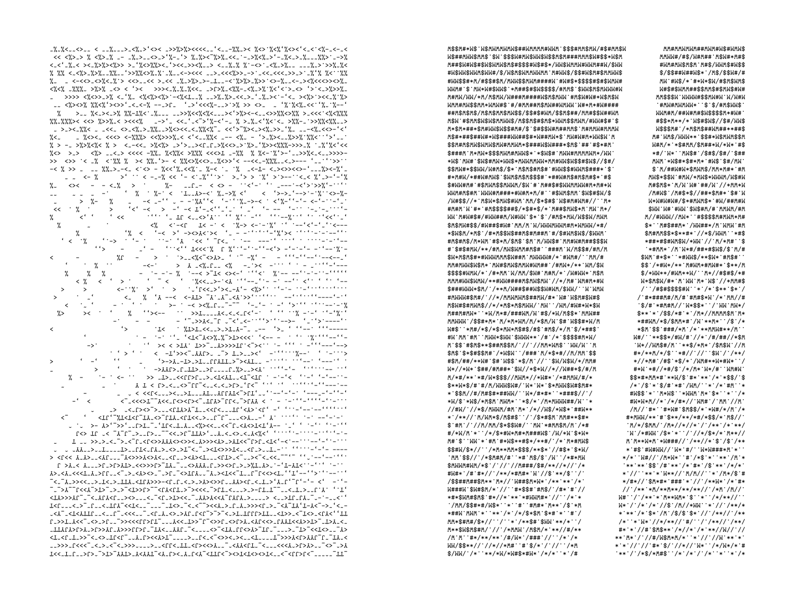M\$\$M#\*W\$`W\$MWMMWMW\$##WMMMM#WWM`\$\$\$#MM\$MW/#\$#MM\$W W\$##MWW\$MM\$`\$W`\$\$\$W#MW\$WW\$W\$\$M\$M###MMM\$W#\$\$\*W\$M M##\$W#W\$#\$W\$WMW\$M\$#\$\$\$#W\$#\$\*/WW\$WMMW#WWM##W/\$WW #W\$WW\$WWM\$WW#/\$/W\$M\$WMMWMMM'M#WW\$/\$\$#W\$M#\$MMWW\$ #WW\$\$#\*M/#\$\$#\$M/MWW\$\$MWM####W`#W#\$\*\$\$\$\$#\$#\$WMW# WWM#:\$:MW\*W#\$WW\$:\*M##\$#\$W\$\$\$\$/#MM\$:\$WW\$M\$MWWW#W M#MW/WW/\*M/M\$MW/W###M####W\$M\$MWW'#M\$W#W#\*W\$M\$W WMM#MW\$\$MM\*WMW#\$'#/#MM##M\$MW##WMWW'W#\*M\*#W#### ##M\$M\$M\$/M\$M\$MM\$MW\$\$/\$\$#\$#WM/\$\$M\$##/MM#\$\$W##WM M\$W'#\$MM\$W\$W\$MMWW\$/M\$\$M\$#\$M\$\*WWM\$\$MWM/#WW#\$#'\$ M\*\$M\*##\*\$M#WW\$W\$\$#M#/\$'\$#\$\$W#M##MM\$'M#MMW#MMMW M\$#\*##\$##W#\*W\$###WW##\$#\*W##MW\*\$`MW#W#M\*WW\$W`M \$\$M#M\$MW\$WMW\$MW#MMWM\*\$###W\$W###\*\$M\$'##'#\$\*#M \*W\$'MW#'\$W\$#MW\*WW\$\*MWWMMWW\*MM#WW\$W\$\$#\$W\$//\$#  $$$MWH*$WW/WHMS/s*'M$M$H$H$H$W$H$H$W$H$H$W$H$H$H$W$K$H$H$W$K$H$H$K$W$H$H$H$K$T$$ #\*M#W/\*##W#MW\$`\$WM\$M\$M\$\$\$#`\*##W#M\$#M\$M#\$\*`#\$ \$#WW#M#'#\$MWM\$\$MWWM/\$W'#'M##\$#\$WWMMWW#M\*M#\*W WWM#M\$#M`WWW#M###\*#W#M\*M/#``#\$WM\$MM`\$W\$#\$W/\$ /W#\$\$//\*'M\$W\*\$MW\$#WM'MM/\$\*\$#\$'W\$#M#WM#//''M\* #M#M W #\* #M\$\$\$\$##\$/\*\$#\*\$/\* 'M##\$MW\$\*M'MW'M\*/ WWWW#\$#/#WW##M/W#WWW%\*SWA#M\$\*MW/W\$\$W/MW \*\$W\$M/\*M\$'/#\*M\$\$W\$##M\$#M##M'#/\$#WM\$W\$/\$WWM #M\$#M\$/M\*WM'#\$\*M/\$M\$'\$M'M/WW\$#'MM#W#M##\$\$\$W # \* \$#\$#MW/\*\*/#M/MW\$WMM#M\$# \* \* ###M \* W/M\$\$#/#M/M \$W\*M\$M\$#\*#WWWMMM\$W##M`MWWWW#/\*`#WM#/``MM/# MM#MWW\$W\$M\*'MW#\$MW\$MMW#WM##'/#MW\*/\*\*'WM/\$W \$\$\$\$#WMW/\*'/#\*MM'W/MM/\$W#'M#M/\*'/W#WW\*'M\$M MMM#WW\$WMW/\*\*#WW####M\$MW\$MW'//\*/M#'WM#M\*#W \$###WWW\*\$M/'/\*\*M/W##\$##W\$\$W#WM/\$WW/''W'WMW #MWWW#\$M#/'//\*/MMWMWM\$##MW/#\*'W#'W\$M#\$W#\$ M\$W#\$#MWM\$//\*/\*M\$\*M\$MWW/'MW''/WM/#W#\*W\*\$W M##M#MW\*``\*W/M\*#/###WM/W`#\$/\*W/M\$\$\*`MMW## MMWWW:/\$\$#\*M\*:M/\*M\*WM/M/\*\$M/W:\$#:W\$\$#\*W/M W#\$``\*M#/\*\$/\*\$\*MW\*M\$#\$/#\$`#M\$/\*/M`\$/\*##\$` #W'MM'#M''MWW\*\$WW'\$WWW\*\*'/#'/\*'\$\$\$\$#M\*W/ M.\$\$.#\$W\$\*\*\$##M\$\$M/.//./WW\*WM\$..MM/M..W  $$MS.$ \$\*\$#\$\$M#'/\*W\$W''/###'M/\*\$\*#//M/MM'\$\$ #\$M/##/\*\*W#`\$#`W\$\$`\*\$/M`//``\$W/W\$W/\*/MM# W\*//\*W\* '\$##/#M##\* '\$W//\*\$\*W//\*//W##\*\$/#/M M/\*#/\*\*'\*#/W\*\$\$\$//MWM\*//\*W#\*'/\*#MMW/#/\* \$\*\*W\*\$/#'#/M/WWW\$W#/'W\*'W\*'\$\*MWW\$W#\$M#\* \*\*\$\$M//#/M#\$#\*##WW/\*\*W\*/#\*#\*\*\*\*###\$//\*/ \*W/\$'\*W\$/\*M\$M'MWM\*''\*\$/\*'/M\*MWW##/W''\* //#W/'//\*\$/MWWM/#M'M\*'/\*//W\$/\*W\$\*'##W\*\* \*\*/\*\*//'M/WM\*\$/M\$#\$''/'/\$\*#\$M'MM#\*\*\$#\* \$'#M'/'//M/MM/\$\*\$\$W#/''MW'\*#MM\$M/M'/\*# #/\*W/M`\*``/\*/\$\*#W\*M#\*M###W\$`/W/\*W`\$\*W\* M# '\$ ' 'WW'\*'#M'#\*W\$\*\*#\$\*/\*\*#/'/\*'M\*#MW\$ \$\$#W/\$\*//''/\*M\*\*MM\*\$\$\$/\*\*\$\*'//#\$\*'\$\*W/ 'MM'\$\$//'/\*\*\$M#M/#''\*#'M\$/\$'/W''/\*#\*MW \$MWWM#WM/\*\$'/'//'//M###/\$#/\*\*//\*//'/\* #W#\*`/#`#\*//`/\*\*/\*#M#\*`W`//\$`\*\*/\$``/` /\$\$##M##\$M\*\*'M\*//'W##\$M\*W\*'/\*\*'\*\*'/\*' W###W'\$W#\$M/\*'//''#\*\$\$#'#M\$/'/#\*'#'// \*#\*\$WM#\$M\$'#\*//\*'\*\*'\*#WWM#\*'//''/\*'\* '/MM/\$\$#\*#/W\$\*''\*''#''#M#\*'M\*\*'/\$'\*M \*##W'MWM'\*''\*\*'/\*'/\*/\$\*\$M'\$\*#'\*''#'/ MM\*\$#M#/\$\*//''/''\*'/\*\*\$#'\$WW'\*\*/\*''/ M\*\*\$W\$M\$#M/'//'/\*MMW'/M\$M/\*'\*\*//#/\*\* /M 'M ' '#\*/\*\*/\*\*'/#/W\*'/###'//''/\*'/\* WW/\$\$\*\*//'//\*//\*M#''#'\$/\*'/'//''/\*M \$/WW/'/\*''\*\*/\*W/\*W#\$\*#W\*'/\*/\*''\*'/#

MM#MMMMMM##MWM#W\$#WMW\$ MMWW#/#\$/W#M##'M\$W#\*M#\$ #WM#MW\$M\$M'M#\$/WWM\$#W\$\$ \$/\$\$##W##W\$\*`/M\$/\$\$W#/# MW:#W\$/\*:#\*W\*\$W/#\$M\$WM\$ W#\$#\$WMM##\$\$MM\$#\$MW\$#W# WW##2M.MMMM###WM#M.M\M#M  $H$ MW#MWMWW\*..\$.\$\#W\$MW\$ WWM#M/##W#M#\$W\$\$\$\$M\*#W#' #\$\$\*M\*\*/\*'W\$#\$W\$//\$#/WW\$ W\$\$\$M# ' /\*M\$M\$##WM##\*\*##\$ M#'WM\$/WWW\*\*'\$\$#\*W\$MWM\$\$M W#M/\* \*\* \$#MM/\$M##\*W/\*W\* '#\$ \*#/'W\*''MW\$#'/\$#\$/\$#/'\$## MWM ·\* W\$#\*\$#\* M\* · #W\$ · \$# / MW · \$'M/##W#W\*\$MWM\$/MM\*M#\*'#M WW\$\*\$\$W'#MW/\*MW\$\*WWWM/W\$#W M#\$M\$\*'M/W'W#'##/W'//\*MM\*W /M#W\$ '/M#\$\*\$//##\*\$M#\*'\$#'W W\*W#W#W#/\$\*#MWM\$\*'#W/##M#W \$WW.M#.#MM.\$M\$#W\#.WWMW\#W M//#WWW//MW\* . . #\$\$\$\$M#MWM\*M# \$\*\*\*M#\$##M\*\*/WW##\*/M\*WMW\*#M  $$M#MM$$$ \*\$\*\*#\*'//\*\$/WWM''\*#\$ \*##\*#\$#WM\$W/\*WW'//'M/\*M#''\$ \*\*#MM\*'/M'W\*#/##\*#\$W\$/\$'M/#  $$WM.****$  \*\*\* \*\* #WW\$ /\*\*\$W\* \* #M\$# \$\$'/\*#W\*/\*\*'M#WM\*#MW#\*'\$\*\*/M \$/\*WW\*\*/#WM\*\*W/ ''M\*//#\$#\$/\*# W\*\$M\$W/#\*'M'WW'M\*'W\$'//\*MM#\$ / ' ' /#\$#\$\$\$\$#W' ' \* ' /\* ' \$\*\* ' \$\* ' / / '#\*###M#/M/#'#M#\$\*W'/\*'MM//# '\$/#'\*#M#M//'W\*\$\$\*''/'WW'MW\*/  $$***$  \* /\$\$/\*# \* /M\*//MMMM\$M M\* \*##WM/\*\$/\$MM\*#'/W'\*\*M\*''/\$'/\* \*\$M'\$\$'###/\*M'/\*'\*\*MMW#\*\*/M'' W#/''\*\*\$\$\*/#W/#'//\*'/#/##//\*\$M .M\*\\MW\$#\W..\*\*&\\*W\*.\\$W\$M.\\W #\*/\*\*M/\*/\$''\*#//'//''\$W'/'/\*\*/ \*//\*M#'/#\$'\*\$/\*'/WM#\*\*W\*#W\*''/ #\*W'\*#//\*#/\$'/\*/M\*'W\*/#''MM#W' \$\$\*#\*MM\*#'\*\*W/\$'#\*'\*\*'/\*'\*\$\$/'\$ /\*'/\$'\*'\$/#'\*#'/WM/''\*'/\*'#M''\* #M\$\$'\*''M\*M\$''\*WWM'M\*'\$\*''\*''/\* #W\*W\*M//\*'/\*/#\*//'WM#'/'MM'//M' /M//'#\*''#\*W#'\$M\$\$/\*'\*W#/\*/M'/\* #\*MWW/\*\*'#'\$\*\*/\*\*/\*#/\*\$\$/\*'M\$//' 'M/\*/\$MM/'/M\*//\*//\*'/'/\*\*'/\*'\*\*/ 'W'/\*#WW'/\$\*'\*''/'//\*/\$\*/\*'M\*\*// M'M\*\*W\*M'\*W###//'/\*\*//\*'\$'/\$'/\*\* \*\*#\$'#W#WW//'W\*'#/''W\*W###\*M'\*'' \*/\*``W#//`/M\*W\*``#`/\*\$`\*``\*\*`/M`\* '\*\*'\*\*'\$\$'/#'\*\*'/\*'#\*'/\$'\*\*'/\*/\*' \*'//''\*\*'\*'W\*\*//'M/M//''\*'/M\*/\$'# \*/#\*//'\$M\*#\*'###'\*'//'/\*\*W\*'/\*'#\* //'/\*\*'\*M/\*\*M\*\*/\*\*/\*\*//'/\*M'/M//' W# . . / . /\*\* . \* . W\*\*MM\* . \$ . . \* . . /\*/\*\*//. . W\*'/'/\*'/\*'//\$'/M//\*WW''\*'//'/\*\*/\* \*\*\*\*\*/\*\*\$\*\*/M'/\$/\$'\$\*\*//'/\*\*//'/\*\* /\* ` \* ` W\* ` / /\* /\*\* / / ` # / ` ` / ` /\*\* / / ` /\*\* / #\*`\*`//#`\$M\$\*\*`/\*//\*`/\*`\*\*//W//`// \*\* 'M\*'/'//#/W\$M\*M/\*''\*'//'//W'\*\*'\*' \* \* ' / / ' / / ' #\* ' \$ / ' / / \* / / ' W\* ' ' / \* / W\* / \* ' # \*\*\*'/'/\*\$/\*M#\$''/\*'/\*'/'/\*''\*''\*'/\*

~%~%<~~<>~~ < ~~%~~~>~<%~>'<>< ~>>%>%><<<<<~~'<~~"%~>< %<>'%<"%<"%<><'<<<<'<%~-<'< <<< ' -%< >< '/>>>>/>'/><'/>><'/>>> > > '/<>'/>'/<>'//>><< '><<<>><'/>><//></>'/-'/-'/-'/-'/-'/-'/-'/-'/-'/-'/<'/-'>'/-'/<'/->'/-'/<'/-% %% <\_<%>\_%>%\_~%%\_~ '>>%%<>%\_%'\_%\_~<<><<<<<<<<</>><<<<<<<<<<<<<<<<<<>>>>>> <<<<<>>>'\_%"% %<''%%  $<\!\!\langle\zeta_8'\zeta_8'\rangle\!\!\!\langle\zeta_8'\zeta_8'\rangle\!\!\rangle_{\rm L} <\!\!\cdot\!>$   $<\!\!\cdot\!>$   $<\!\!\cdot\!>$   $<\!\!\cdot\!>$   $<\!\!\cdot\!>$   $<\!\!\cdot\!>$   $<\!\!\cdot\!$   $<\!\!\cdot\!$   $<\!\!\cdot\!$   $<\!\!\cdot\!$   $<\!\!\cdot\!$   $<\!\!\cdot\!$   $<\!\!\cdot\!$   $<\!\!\cdot\!$   $<\!\!\cdot\!$ ~~ <%><>% %%<%'><>>'~<~-% --~>f~ '~>'<<<%-~~>'>% >> <>~ ~ '%'%<%~<<''%~"%--"  $\% \qquad \quad \ \ \geq \qquad \ \ \, \times \quad \ \ \, \times \quad \ \ \times \quad \ \ \times \quad \ \ \times \quad \ \ \times \quad \ \ \times \quad \ \ \times \quad \ \ \times \quad \ \ \times \quad \ \ \times \quad \ \ \times \quad \ \ \times \quad \ \times \quad \ \times \quad \ \times \quad \ \times \quad \ \times \quad \ \times \quad \ \times \quad \ \times \quad \ \times \quad \ \times \quad \ \times \quad \ \times \quad \ \times \quad \ \times \quad \ \times \quad \ \times \$  $\frac{1}{2} \left( \frac{1}{2} \right)^{1/2} \left( \frac{1}{2} \right)^{1/2} \left( \frac{1}{2} \right)^{1/2} \left( \frac{1}{2} \right)^{1/2} \left( \frac{1}{2} \right)^{1/2} \left( \frac{1}{2} \right)^{1/2} \left( \frac{1}{2} \right)^{1/2} \left( \frac{1}{2} \right)^{1/2} \left( \frac{1}{2} \right)^{1/2} \left( \frac{1}{2} \right)^{1/2} \left( \frac{1}{2} \right)^{1/2} \left( \frac{1}{2} \right)^{1$  $\gamma$  $\%\langle 0 \rangle \quad >> \quad \ <\!\!\%\rangle \quad \text{and} \quad \ <\!\!\!<\!\!\!<\!\!\cdot\!\!> \quad \ <\!\!\!<\!\!\!<\!\!\cdot\!\!> \quad \ <\!\!\!\!\cdot\!\! \gamma^0_{\rm b} \quad \text{and} \quad \ <\!\!\!\!\cdot\!\!> \quad \ <\!\!\!\!\cdot\!\! \gamma^0_{\rm b} \quad \text{and} \quad \ <\!\!\!\!<\!\!\!<\!\!\cdot\!\!> \quad \ <\!\!\!\!\cdot\!\!> \quad \ <\!\!\!\!\cdot\!\! \quad \ <\!\!\!\!\cdot\!\!> \quad \ <\!\!\!\!\$  $-\langle \ \ \ \rangle_{0} >> \ \$  $\text{L}_{\text{L}} \text{L}_{\text{L}} \leq \text{L}_{\text{R}} \text{L}_{\text{L}} \text{L}_{\text{L}} \text{L}_{\text{L}} \text{L}_{\text{L}} \text{L}_{\text{L}} \text{L}_{\text{L}} \text{L}_{\text{L}} \text{L}_{\text{L}} \text{L}_{\text{L}} \text{L}_{\text{L}} \text{L}_{\text{L}} \text{L}_{\text{L}} \text{L}_{\text{L}} \text{L}_{\text{L}} \text{L}_{\text{L}} \text{L}_{\text{L}} \text{L}_{\text{L}} \text{L}_{\text{L}} \text{L}_{\text$  $\langle 0 \rangle$  = -  $\langle x_0^y \rangle$  >  $\langle x_1^y \rangle$  =  $\langle x_0^y \rangle$  <  $\langle x_1^y \rangle$  =  $\langle x_2^y \rangle$  =  $\langle x_1^y \rangle$  =  $\langle x_1^y \rangle$  =  $\langle x_1^y \rangle$  =  $\langle x_1^y \rangle$  =  $\langle x_1^y \rangle$  =  $\langle x_1^y \rangle$  =  $\langle x_1^y \rangle$  =  $\langle x_1^y \rangle$  =  $\langle x_1^y \rangle$  =  $\langle x_1^y \rangle$   $\frac{1}{2}$   $\frac{1}{2}$   $\frac{1}{2}$   $\frac{1}{2}$   $\frac{1}{2}$   $\frac{1}{2}$   $\frac{1}{2}$   $\frac{1}{2}$   $\frac{1}{2}$   $\frac{1}{2}$  $\% \% \% \sim$   $\%$   $\frac{1}{2}$   $\frac{1}{2}$   $\frac{1}{2}$   $\frac{1}{2}$   $\frac{1}{2}$   $\frac{1}{2}$   $\frac{1}{2}$   $\frac{1}{2}$   $\frac{1}{2}$   $\frac{1}{2}$   $\frac{1}{2}$   $\frac{1}{2}$   $\frac{1}{2}$   $\frac{1}{2}$   $\frac{1}{2}$   $\frac{1}{2}$   $\frac{1}{2}$   $\frac{1}{2$  $<<$   $\%$  $\gamma$  $<\!\!\delta\!\!\delta\!\!\delta\!\!\quad <\!\!\cdot\!\! <\!\!\cdot\!\! <\!\!\!\cdot\!\! <\!\!\!\cdot\!\! <\!\!\!\cdot\!\! <\!\!\!\cdot\!\! <\!\!\!\cdot\!\! <\!\!\cdot\!\! <\!\!\cdot\!\! <\!\!\cdot\!\! <\!\!\cdot\!\! <\!\!\cdot\!\! <\!\!\cdot\!\! <\!\!\cdot\!\! <\!\!\cdot\!\! <\!\!\cdot\!\! <\!\!\cdot\!\! <\!\!\cdot\!\! <\!\!\cdot\!\! <\!\!\cdot\!\! <\!\!\cdot\!\! <\!\!\cdot\!\! <\!\!\cdot\!\! <\!\!\cdot\!\! <\!\!\cdot\$  $\%$  $\frac{1}{2}$  x  $\frac{1}{2}$  -x  $\frac{1}{2}$  -x  $\frac{1}{2}$  x  $\frac{1}{2}$  -x  $\frac{1}{2}$  -x  $\frac{1}{2}$  -x  $\frac{1}{2}$  +x  $\frac{1}{2}$  +x  $\frac{1}{2}$  +x  $\frac{1}{2}$  +x  $\frac{1}{2}$  +x  $\frac{1}{2}$  +x  $\frac{1}{2}$  +x  $\frac{1}{2}$  +x  $\frac{1}{2}$  +x  $\frac{1}{2}$  +x  $\$  $\frac{9}{4}$  $\| \psi_{-2} - \psi_{-1} \|_{L^2} \leq \| \psi_{-1} \|_{L^2} \leq C \, \sup_{\| \xi \leq C} \, \sup_{\| \xi \leq C} \, \sup_{\| \xi \leq C} \, \sup_{\| \xi \leq C} \, \sup_{\| \xi \leq C} \, \sup_{\| \xi \leq C} \, \sup_{\| \xi \leq C} \, \sup_{\| \xi \leq C} \, \sup_{\| \xi \leq C} \, \sup_{\| \xi \leq C} \, \sup_{\| \xi \leq C} \, \sup_{\| \xi \leq C} \, \sup_{\| \xi \$  $\cdot \gamma$  $\hat{}$ (1)  $\frac{1}{2}$   $\frac{1}{2}$   $\frac{1}{2}$   $\frac{1}{2}$   $\frac{1}{2}$   $\frac{1}{2}$   $\frac{1}{2}$   $\frac{1}{2}$   $\frac{1}{2}$   $\frac{1}{2}$   $\frac{1}{2}$   $\frac{1}{2}$   $\frac{1}{2}$   $\frac{1}{2}$   $\frac{1}{2}$   $\frac{1}{2}$   $\frac{1}{2}$   $\frac{1}{2}$   $\frac{1}{2}$   $\frac{1}{2}$   $\frac{1}{2}$   $\frac{1}{2$  $\%f = \Rightarrow$   $\Rightarrow$   $\Rightarrow$   $\frac{f}{f} = \frac{f}{f} = -\frac{f}{f} = -\frac{f}{f} = -\frac{f}{f} = -\frac{f}{f} = -\frac{f}{f} = -\frac{f}{f} = -\frac{f}{f} = -\frac{f}{f} = -\frac{f}{f} = -\frac{f}{f} = -\frac{f}{f} = -\frac{f}{f} = -\frac{f}{f} = -\frac{f}{f} = -\frac{f}{f} = -\frac{f}{f} = -\frac{f}{f} = -\frac{f}{f} = -\frac{f}{f} = -\frac{f}{f} = -\frac{f$  $\cdot$   $\frac{9}{6}$   $\cdot$  $-5$  >  $\lambda \sim \sqrt{2}$   $\sim \frac{1}{2}$   $\sim \frac{1}{2}$   $\sim \frac{1}{2}$   $\sim \frac{1}{2}$   $\sim \frac{1}{2}$   $\sim \frac{1}{2}$   $\sim \frac{1}{2}$   $\sim \frac{1}{2}$   $\sim \frac{1}{2}$  $\frac{1}{2} \frac{1}{2} \frac{1}{2} \frac{1}{2} \frac{1}{2} \frac{1}{2} \frac{1}{2} \frac{1}{2} \frac{1}{2} \frac{1}{2} \frac{1}{2} \frac{1}{2} \frac{1}{2} \frac{1}{2} \frac{1}{2} \frac{1}{2} \frac{1}{2} \frac{1}{2} \frac{1}{2} \frac{1}{2} \frac{1}{2} \frac{1}{2} \frac{1}{2} \frac{1}{2} \frac{1}{2} \frac{1}{2} \frac{1}{2} \frac{1}{2} \frac{1}{2} \frac{1}{2} \frac{1}{2} \frac{$  $\%$  $\%$  %  $\langle \zeta \rangle_{\rm{A}}^{0} = \langle \zeta \rangle_{\rm{A}}^{0} + \langle \zeta \rangle_{\rm{A}}^{0} = \langle \zeta \rangle_{\rm{A}}^{0} + \langle \zeta \rangle_{\rm{A}}^{0} \langle \zeta \rangle_{\rm{A}}^{0} + \langle \zeta \rangle_{\rm{A}}^{0} + \langle \zeta \rangle_{\rm{A}}^{0} + \langle \zeta \rangle_{\rm{A}}^{0} + \langle \zeta \rangle_{\rm{A}}^{0} + \langle \zeta \rangle_{\rm{A}}^{0} + \langle \zeta \rangle_{\rm{A}}^{0}$  $\langle -1, \frac{1}{2}, \frac{1}{2}, \frac{1}{2}, \frac{1}{2}, \frac{1}{2}, \frac{1}{2}, \frac{1}{2}, \frac{1}{2}, \frac{1}{2}, \frac{1}{2}, \frac{1}{2}, \frac{1}{2}, \frac{1}{2}, \frac{1}{2}, \frac{1}{2}, \frac{1}{2}, \frac{1}{2}, \frac{1}{2}, \frac{1}{2}, \frac{1}{2}, \frac{1}{2}, \frac{1}{2}, \frac{1}{2}, \frac{1}{2}, \frac{1}{2}, \frac{1}{2}, \frac{1}{2}, \frac{1}{2}, \frac{1}{2}, \frac{1}{2}, \frac{1}{$  $\rightarrow$  $\rightarrow$  $\leq \qquad \text{ for } \qquad \text{ for } \qquad \text{ for } \qquad \text{ for } \qquad \text{ for } \qquad \text{ for } \qquad \text{ for } \qquad \text{ for } \qquad \text{ for } \qquad \text{ for } \qquad \text{ for } \qquad \text{ for } \qquad \text{ for } \qquad \text{ for } \qquad \text{ for } \qquad \text{ for } \qquad \text{ for } \qquad \text{ for } \qquad \text{ for } \qquad \text{ for } \qquad \text{ for } \qquad \text{ for } \qquad \text{ for } \qquad \text{ for } \qquad \text{ for } \qquad \text{ for } \qquad \text{ for } \$  $\sim$  $\rightarrow$  $\langle\cdot\rangle_{\omega}$  .  $\frac{1}{2} \sum_{i=1}^{n} \frac{1}{2} \sum_{i=1}^{n} \frac{1}{2} \sum_{i=1}^{n} \left( \sum_{i=1}^{n} \frac{1}{2} \sum_{i=1}^{n} \frac{1}{2} \sum_{i=1}^{n} \frac{1}{2} \sum_{i=1}^{n} \frac{1}{2} \sum_{i=1}^{n} \frac{1}{2} \sum_{i=1}^{n} \frac{1}{2} \sum_{i=1}^{n} \frac{1}{2} \sum_{i=1}^{n} \frac{1}{2} \sum_{i=1}^{n} \frac{1}{2} \sum_{i=1}^{n} \frac{$  $\hat{~}$  $\sim$   $^{-1}$  $\sim$   $\sim$   $\sim$   $\%$ %>  $\Delta \sigma$  $\mathcal{L}^{\mathcal{L}}$  and  $\mathcal{L}^{\mathcal{L}}$  $\cdot$  $\text{L} & \text{L} & \text{L} & \text{L} & \text{L} & \text{L} & \text{L} & \text{L} & \text{L} & \text{L} & \text{L} & \text{L} & \text{L} & \text{L} & \text{L} & \text{L} & \text{L} & \text{L} & \text{L} & \text{L} & \text{L} & \text{L} & \text{L} & \text{L} & \text{L} & \text{L} & \text{L} & \text{L} & \text{L} & \text{L} & \text{L} & \text{L} & \text{L} & \text{L} & \text{L} & \text{L} & \text{L$  $\hat{~}$  $\frac{1}{2} \left( \frac{1}{2} \right)^{2} \left( \frac{1}{2} \right)^{2} \left( \frac{1}{2} \right)^{2} \left( \frac{1}{2} \right)^{2} \left( \frac{1}{2} \right)^{2} \left( \frac{1}{2} \right)^{2} \left( \frac{1}{2} \right)^{2} \left( \frac{1}{2} \right)^{2} \left( \frac{1}{2} \right)^{2} \left( \frac{1}{2} \right)^{2} \left( \frac{1}{2} \right)^{2} \left( \frac{1}{2} \right)^{2} \left( \frac{1}{2} \right)^{2} \left( \frac$  $\epsilon$ ...,  $\lambda < 5$ TY. T>>\_""Y>>>TU.<\_><..., =  $...$ , =  $...$ , =  $...$  $\rightarrow$ .  $6.6$  $\epsilon$  $\epsilon$ >  $\rightarrow$  $\%$  - $1.11 < 1.11 < 1.11 < 1.11 < 1.12 < 1.12 < 1.12 < 1.12 < 1.12 < 1.12 < 1.12 < 1.12 < 1.12 < 1.12 < 1.12 < 1.12 < 1.12 < 1.12 < 1.12 < 1.12 < 1.12 < 1.12 < 1.12 < 1.12 < 1.12 < 1.12 < 1.12 < 1.12 < 1.12 < 1.12 < 1.12 < 1.12 < 1.12 < 1.12 < 1.12 < 1.12 < 1.12$  $-$ ' <  $\epsilon$  $\text{L} \diamondsuit \text{L} \text{L} \diamondsuit \text{L} \text{L} \text{L} \diamondsuit \text{L} \text{L} \text{L} \diamondsuit \text{L} \text{L} \text{L} \diamondsuit \text{L} \text{L} \text{L} \text{L} \diamondsuit \text{L} \text{L} \text{L} \diamondsuit \text{L} \diamondsuit \text{L} \diamondsuit \text{L} \diamondsuit \text{L} \diamondsuit \text{L} \diamondsuit \text{L} \diamondsuit \text{L} \diamondsuit \text{L} \diamondsuit \text{L} \diamondsuit \text{L} \diamondsuit \text{L} \diamondsuit \text{L} \diamondsuit \text{L} \diamondsuit$  $\texttt{L} \texttt{>}Y^\sim \texttt{V}^{-\sim} \texttt{L}^{-\sim} \texttt{L}^{-\sim} \texttt{L}^{-\sim} \texttt{L}^{-\sim} \texttt{L}^{-\sim} \texttt{L}^{-\sim} \texttt{L}^{-\sim} \texttt{L}^{-\sim} \texttt{L}^{-\sim} \texttt{L}^{-\sim} \texttt{L}^{-\sim} \texttt{L}^{-\sim} \texttt{L}^{-\sim} \texttt{L}^{-\sim} \texttt{L}^{-\sim} \texttt{L}^{-\sim} \texttt{L}^{-\sim} \texttt{L}^{-\sim} \texttt{L}^{-\sim} \texttt{L}$  $\texttt{Y} > \texttt{Y} \texttt{Y} < \texttt{Y} \texttt{Y} < \texttt{Y} \texttt{Y} < \texttt{Y} \texttt{Y} < \texttt{Y} \texttt{Y} < \texttt{Y} \texttt{Y} < \texttt{Y} \texttt{Y} < \texttt{Y} \texttt{Y} < \texttt{Y} < \texttt{Y} < \texttt{Y} < \texttt{Y} < \texttt{Y} < \texttt{Y} < \texttt{Y} < \texttt{Y} < \texttt{Y} < \texttt{Y} < \texttt{Y} < \texttt{Y} < \texttt{Y} < \texttt{Y} < \texttt{Y} < \texttt{$  $-\,,\, -\,,\, -\,,\, -\,,\, 1\,,\, \, 1\,,\, 1\,,\, 1\,,\, 2\,,\, 1\,,\, 2\,,\, 2\,,\, 2\,,\, 2\,,\, 2\,,\, 2\,,\, 2\,,\, 2\,,\, 2\,,\, 2\,,\, 2\,,\, 2\,,\, 2\,,\, 2\,,\, 2\,,\, 2\,,\, 2\,,\, 2\,,\, 2\,,\, 2\,,\, 2\,,\, 2\,,\, 2\,,\, 2\,,\, 2\,,\, 2\,,\, 2\,,\,$ ^<Y\_~<T<YTTL~"<~`L\_^<<<~`\_ ~<L~Y~<>>YL^L<L\_>\_>\_<^>T^TLLL>TT^\*<T>>~<\_T<><<LY< <.TT L~>>T"Y<<\_^<>~>L~\_>><<<Lt>LT\_^^Y<<-T>>\_L\_<>L<>L^<>L^<VL<<YL<<>'UYT<<Y>T></></>T>>T>/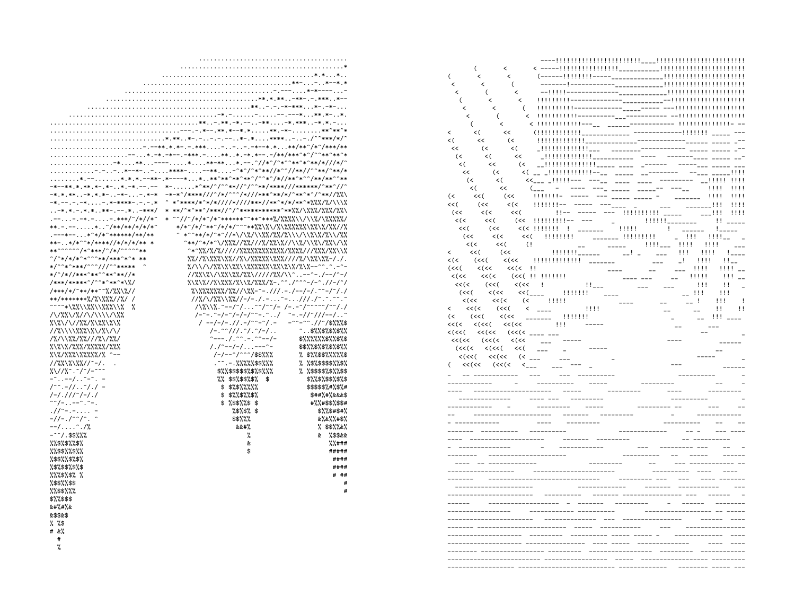| !!!                                                                                                                                                                                                                                                                                                                                                      |
|----------------------------------------------------------------------------------------------------------------------------------------------------------------------------------------------------------------------------------------------------------------------------------------------------------------------------------------------------------|
| !!!                                                                                                                                                                                                                                                                                                                                                      |
| $\frac{1}{2}$                                                                                                                                                                                                                                                                                                                                            |
| $\overline{C}$<br>!!!                                                                                                                                                                                                                                                                                                                                    |
| $\,<$<br>$\mathbf{1}$                                                                                                                                                                                                                                                                                                                                    |
| $\overline{\phantom{a}}$<br>111                                                                                                                                                                                                                                                                                                                          |
| $\begin{array}{c} \epsilon & \epsilon \\ \epsilon & \epsilon \\ \epsilon & \epsilon \\ \epsilon & \epsilon \\ \epsilon & \epsilon \end{array}$<br>$\overline{C}$                                                                                                                                                                                         |
| $\left\langle \right\rangle$<br>$\pm$                                                                                                                                                                                                                                                                                                                    |
|                                                                                                                                                                                                                                                                                                                                                          |
| $\overline{\phantom{a}}$<br>$\frac{1}{2}$                                                                                                                                                                                                                                                                                                                |
|                                                                                                                                                                                                                                                                                                                                                          |
| $\prec$ (<br>$\left($ <                                                                                                                                                                                                                                                                                                                                  |
| $\left($ <<br>$\prec($<br><<                                                                                                                                                                                                                                                                                                                             |
| $\lt$<br>$\left($ <<br>$\lt$ (                                                                                                                                                                                                                                                                                                                           |
| $\left($ <<br>$\lt$ (<br><<                                                                                                                                                                                                                                                                                                                              |
| - <del>- 11</del><br>-11 1111 December<br>$<<\,$<br>$\left($ <<br>$\langle$ ( $\angle$ $\angle$ $\angle$ 111111111111-<br>1111                                                                                                                                                                                                                           |
| $\lt$ (<br>$<<$ ___ _!!!!!!---<br>$\sim$ 111111-1111<br>$\left($ <                                                                                                                                                                                                                                                                                       |
| <<<br>$($ <sub>---</sub> -<br>$---$<br>$\lt$ (                                                                                                                                                                                                                                                                                                           |
| $---$                                                                                                                                                                                                                                                                                                                                                    |
| $(\lt\lt$<br>$-1111111-$<br>$\left($ <<br>$<<$ (<br>1111<br>!!!!                                                                                                                                                                                                                                                                                         |
| $11111111 = 7777$<br><<(<br>$\left(\ll\right)$<br>$\lt$ ( $\lt$<br>!!!!                                                                                                                                                                                                                                                                                  |
| $<<$ (<br>$\left( << \right)$<br>$\lt$ ( $\lt$<br>1111                                                                                                                                                                                                                                                                                                   |
| $(\leq \leq$                       --<br>$\lt$ ( $\lt$<br><<(<br>$11 - 1$                                                                                                                                                                                                                                                                                |
| ---<br>-------<br>$<<$ (<br>$(\lt\lt$                                                                                                                                                                                                                                                                                                                    |
| <u> 1988 - Jan Amerikaanse komme</u><br>1980 - Jan Amerikaanse kommerken<br>1980 - Jan Amerikaanse kommerken<br>11 –<br> -----<br> 1<br>$(\lt\lt$                                                                                                                                                                                                        |
| <<(<br>(!<br>$\lt$ ( $\lt$                                                                                                                                                                                                                                                                                                                               |
|                                                                                                                                                                                                                                                                                                                                                          |
| $111 - 1111$<br>$\mathbb{I}_{\text{max}}$<br>$(\lt\lt)$<br>$<<$ (<br>$\overline{\phantom{a}}$<br>$-$<br>$\frac{1}{\sqrt{2}}$                                                                                                                                                                                                                             |
| $-1 - 1111$<br>$\lt$ ( $\lt$<br>$(\lt\lt)$<br>$\Omega_{\rm{max}}$ .                                                                                                                                                                                                                                                                                      |
| $\mathbb{L}_{\text{max}}$ ( $1111$ )<br>$<<$ $(<$<br>$(\lt\lt$ (<br>$1111 - 1$                                                                                                                                                                                                                                                                           |
| 11111<br>$111 - 1$<br>$\lt$ ( $\lt$<br>$<<$ $(<$<br>$\frac{1}{2}$                                                                                                                                                                                                                                                                                        |
| $\frac{1}{2}$<br>$\frac{1}{2}$<br>$\frac{1}{2}$<br>$\frac{1}{2}$<br>$\frac{1}{2}$<br>$\frac{1}{2}$<br>$\frac{1}{2}$<br>$\frac{1}{2}$<br>$\frac{1}{2}$<br><br>$\frac{1}{2}$<br><br><br><br><br><br><br><br><br><br><br><br>$\begin{array}{cc} \mathbf{1} & \mathbf{1} \\ \mathbf{1} & \mathbf{1} \end{array}$<br>$-111$<br>$\mathbf{H}$<br>$\overline{a}$ |
| $\langle \langle \langle \rangle \rangle$<br>111                                                                                                                                                                                                                                                                                                         |
| $\overline{\phantom{a}}$<br><<<br>$<<$ $(<$<br>111<br>$\sim$ $\sim$ $\sim$ $\sim$                                                                                                                                                                                                                                                                        |
|                                                                                                                                                                                                                                                                                                                                                          |
| $(\lt\lt)$<br>$\left\langle \right\rangle$<br>1111<br>$\pm 1$<br>$\frac{1}{2}$<br>$<<$ $(<$<br>$\overline{\phantom{a}}$                                                                                                                                                                                                                                  |
| $111 - 222$<br>$(\lt\lt)$<br>$\lt$ ( $\lt$<br>$\left($ <<br>1111111<br>--------                                                                                                                                                                                                                                                                          |
|                                                                                                                                                                                                                                                                                                                                                          |
| $\langle \langle \langle \langle \cdot   \cdot \rangle \rangle \rangle$<br>$<<$ ( $<$<br>111                                                                                                                                                                                                                                                             |
| <<                                                                                                                                                                                                                                                                                                                                                       |
|                                                                                                                                                                                                                                                                                                                                                          |
| $(\langle \langle \cdot \rangle \rangle \langle \langle \cdot \rangle \rangle \rangle$<br><< (<                                                                                                                                                                                                                                                          |
| $<<$ (<br>$(\langle \langle \langle \cdot \rangle \rangle \rangle)$<br>$\frac{1}{2}$                                                                                                                                                                                                                                                                     |
| $<<$ (                                                                                                                                                                                                                                                                                                                                                   |
| $\overline{C}$                                                                                                                                                                                                                                                                                                                                           |
|                                                                                                                                                                                                                                                                                                                                                          |
|                                                                                                                                                                                                                                                                                                                                                          |
|                                                                                                                                                                                                                                                                                                                                                          |
|                                                                                                                                                                                                                                                                                                                                                          |
|                                                                                                                                                                                                                                                                                                                                                          |
|                                                                                                                                                                                                                                                                                                                                                          |
|                                                                                                                                                                                                                                                                                                                                                          |
|                                                                                                                                                                                                                                                                                                                                                          |
|                                                                                                                                                                                                                                                                                                                                                          |
|                                                                                                                                                                                                                                                                                                                                                          |
|                                                                                                                                                                                                                                                                                                                                                          |
|                                                                                                                                                                                                                                                                                                                                                          |
|                                                                                                                                                                                                                                                                                                                                                          |
|                                                                                                                                                                                                                                                                                                                                                          |
|                                                                                                                                                                                                                                                                                                                                                          |
|                                                                                                                                                                                                                                                                                                                                                          |
|                                                                                                                                                                                                                                                                                                                                                          |
|                                                                                                                                                                                                                                                                                                                                                          |
| $- - - - - - - -$                                                                                                                                                                                                                                                                                                                                        |
| <b>Contract Contract Contract</b>                                                                                                                                                                                                                                                                                                                        |
|                                                                                                                                                                                                                                                                                                                                                          |
|                                                                                                                                                                                                                                                                                                                                                          |
|                                                                                                                                                                                                                                                                                                                                                          |
|                                                                                                                                                                                                                                                                                                                                                          |
|                                                                                                                                                                                                                                                                                                                                                          |
| -------------                                                                                                                                                                                                                                                                                                                                            |
| _________ _____ ___                                                                                                                                                                                                                                                                                                                                      |

|                                                                                                                                                                                                                                                                                                                                                                                                                                                                                      | **-.**.---**-*.***-*.*                                                                                                                                                                                                                                                                                                                                                                                                                                                                                                                                                                                                                                                                                                                                                                                                                            |                        |
|--------------------------------------------------------------------------------------------------------------------------------------------------------------------------------------------------------------------------------------------------------------------------------------------------------------------------------------------------------------------------------------------------------------------------------------------------------------------------------------|---------------------------------------------------------------------------------------------------------------------------------------------------------------------------------------------------------------------------------------------------------------------------------------------------------------------------------------------------------------------------------------------------------------------------------------------------------------------------------------------------------------------------------------------------------------------------------------------------------------------------------------------------------------------------------------------------------------------------------------------------------------------------------------------------------------------------------------------------|------------------------|
|                                                                                                                                                                                                                                                                                                                                                                                                                                                                                      |                                                                                                                                                                                                                                                                                                                                                                                                                                                                                                                                                                                                                                                                                                                                                                                                                                                   |                        |
|                                                                                                                                                                                                                                                                                                                                                                                                                                                                                      |                                                                                                                                                                                                                                                                                                                                                                                                                                                                                                                                                                                                                                                                                                                                                                                                                                                   |                        |
|                                                                                                                                                                                                                                                                                                                                                                                                                                                                                      |                                                                                                                                                                                                                                                                                                                                                                                                                                                                                                                                                                                                                                                                                                                                                                                                                                                   |                        |
|                                                                                                                                                                                                                                                                                                                                                                                                                                                                                      |                                                                                                                                                                                                                                                                                                                                                                                                                                                                                                                                                                                                                                                                                                                                                                                                                                                   |                        |
|                                                                                                                                                                                                                                                                                                                                                                                                                                                                                      | -***----*****--.^//*^/^*^^**^**/*///*/^                                                                                                                                                                                                                                                                                                                                                                                                                                                                                                                                                                                                                                                                                                                                                                                                           |                        |
|                                                                                                                                                                                                                                                                                                                                                                                                                                                                                      | . – – *--*- – ****- –-** –^*^/^*^**//*^^//**//^^**/^**/*                                                                                                                                                                                                                                                                                                                                                                                                                                                                                                                                                                                                                                                                                                                                                                                          |                        |
|                                                                                                                                                                                                                                                                                                                                                                                                                                                                                      |                                                                                                                                                                                                                                                                                                                                                                                                                                                                                                                                                                                                                                                                                                                                                                                                                                                   |                        |
| $***.*.*.*.*-.*-*-.*:-*.--.$                                                                                                                                                                                                                                                                                                                                                                                                                                                         | *-*^**/^/^^**//^/^^**/****///******/^**^//^                                                                                                                                                                                                                                                                                                                                                                                                                                                                                                                                                                                                                                                                                                                                                                                                       |                        |
| -*.*.**-*.*.*--*--.*-*                                                                                                                                                                                                                                                                                                                                                                                                                                                               | -*-*^/****///^/*/^^^/*///***^**/*/^**^*^/^**//%%\                                                                                                                                                                                                                                                                                                                                                                                                                                                                                                                                                                                                                                                                                                                                                                                                 |                        |
| -*.--.-.-*-.*-****-.-.*                                                                                                                                                                                                                                                                                                                                                                                                                                                              | ^ *^****/*^*/*////*////***//**^*/*/**^*%%%/%/\\\%                                                                                                                                                                                                                                                                                                                                                                                                                                                                                                                                                                                                                                                                                                                                                                                                 |                        |
| -*.*.-.*.***-.--.*-***/                                                                                                                                                                                                                                                                                                                                                                                                                                                              | * **/^*^**^/***//^/^************^**%%/\%%%/%%%/%%\                                                                                                                                                                                                                                                                                                                                                                                                                                                                                                                                                                                                                                                                                                                                                                                                |                        |
| --.-*.--.***/^/*//*^                                                                                                                                                                                                                                                                                                                                                                                                                                                                 | * ^^//^/*/*^/*^******^^**^*****//%%%%\\/\\%/\%%%%                                                                                                                                                                                                                                                                                                                                                                                                                                                                                                                                                                                                                                                                                                                                                                                                 |                        |
| **.-.--*^/**/**/*/*/*                                                                                                                                                                                                                                                                                                                                                                                                                                                                |                                                                                                                                                                                                                                                                                                                                                                                                                                                                                                                                                                                                                                                                                                                                                                                                                                                   |                        |
| .---*--*^*/*^******/**/**                                                                                                                                                                                                                                                                                                                                                                                                                                                            | *^^**/*/^*^//*\/\%/\\%%/%%/%\\\/\\%\%/%\\/%%                                                                                                                                                                                                                                                                                                                                                                                                                                                                                                                                                                                                                                                                                                                                                                                                      |                        |
| **-*/*^^*/****//*/*/*/**                                                                                                                                                                                                                                                                                                                                                                                                                                                             | ^**/^*/*^\ <i>/%%%//%%///%/%</i> %\%//\\%/\\%\/%%\/\%                                                                                                                                                                                                                                                                                                                                                                                                                                                                                                                                                                                                                                                                                                                                                                                             |                        |
| **^^^^^^/*^***/^/*/^^^^^**                                                                                                                                                                                                                                                                                                                                                                                                                                                           | ~*~%%/%/%/////%%%%%%%%%%%%%%%///%%%/%%\\%                                                                                                                                                                                                                                                                                                                                                                                                                                                                                                                                                                                                                                                                                                                                                                                                         |                        |
| <sup>^</sup> /^*/*/*^*^^^**/***^*^*                                                                                                                                                                                                                                                                                                                                                                                                                                                  |                                                                                                                                                                                                                                                                                                                                                                                                                                                                                                                                                                                                                                                                                                                                                                                                                                                   |                        |
| */^^*^***/^^^///^^*****                                                                                                                                                                                                                                                                                                                                                                                                                                                              | %/\\/\/%%\%\%%\\%%%%%%%\%%\%\%/%\%--^^.^.-^-                                                                                                                                                                                                                                                                                                                                                                                                                                                                                                                                                                                                                                                                                                                                                                                                      |                        |
| */^/*//***^**^^**^**//*                                                                                                                                                                                                                                                                                                                                                                                                                                                              | //%%\%\/\%%\%%/%%\/////%%/\\^--^-./--/^-/                                                                                                                                                                                                                                                                                                                                                                                                                                                                                                                                                                                                                                                                                                                                                                                                         |                        |
| /***/*****^/^^*^***^*\%/                                                                                                                                                                                                                                                                                                                                                                                                                                                             |                                                                                                                                                                                                                                                                                                                                                                                                                                                                                                                                                                                                                                                                                                                                                                                                                                                   |                        |
|                                                                                                                                                                                                                                                                                                                                                                                                                                                                                      | %\%\%//%\%%%/%\\%/%%%/%-.^^./^^^-/-^.//-/^/                                                                                                                                                                                                                                                                                                                                                                                                                                                                                                                                                                                                                                                                                                                                                                                                       |                        |
| /***/*/^**/**^^%/%%\%//                                                                                                                                                                                                                                                                                                                                                                                                                                                              | %\%%%%%%%/%%//\%%-^-.///.-./--/-/.^^-/^/./                                                                                                                                                                                                                                                                                                                                                                                                                                                                                                                                                                                                                                                                                                                                                                                                        |                        |
| **/*******%/%\%%%//%/ /                                                                                                                                                                                                                                                                                                                                                                                                                                                              | //%/\/%%\\%%//-/-./.-^-///./^.^.^^.^<br>/.\%\\%.^--/^/^^/^^/- /-.-^/^^^^/^/./                                                                                                                                                                                                                                                                                                                                                                                                                                                                                                                                                                                                                                                                                                                                                                     |                        |
| ----*\%%\\%%\\%%%\\%<br>%                                                                                                                                                                                                                                                                                                                                                                                                                                                            |                                                                                                                                                                                                                                                                                                                                                                                                                                                                                                                                                                                                                                                                                                                                                                                                                                                   |                        |
| /\/%%\/%//\/\\\\/\%%                                                                                                                                                                                                                                                                                                                                                                                                                                                                 | /-^-.^-/-^/-/-/^^-.^/                                                                                                                                                                                                                                                                                                                                                                                                                                                                                                                                                                                                                                                                                                                                                                                                                             | _^-.-//^///--/^        |
| %\%\/\//%%/%\%%\%\%                                                                                                                                                                                                                                                                                                                                                                                                                                                                  | / --/-/-.//.-/^^-^/.-                                                                                                                                                                                                                                                                                                                                                                                                                                                                                                                                                                                                                                                                                                                                                                                                                             | $-$ ^-^^.//^/\$%%%\$   |
| //%\\\\%%%\%\/%\/\/                                                                                                                                                                                                                                                                                                                                                                                                                                                                  | /-.^^///.^/.^/-/                                                                                                                                                                                                                                                                                                                                                                                                                                                                                                                                                                                                                                                                                                                                                                                                                                  | <u>^\$%%\$%\$%\$%%</u> |
| /%/\\%%/%%///%\/%%/                                                                                                                                                                                                                                                                                                                                                                                                                                                                  | ----./.^^.-.^^--/-                                                                                                                                                                                                                                                                                                                                                                                                                                                                                                                                                                                                                                                                                                                                                                                                                                | \$%%%%%\$%%\$%\$       |
| %\%\%/%%%/%%%%%%/%%%                                                                                                                                                                                                                                                                                                                                                                                                                                                                 | /./^--/-/---^-                                                                                                                                                                                                                                                                                                                                                                                                                                                                                                                                                                                                                                                                                                                                                                                                                                    | \$\$%%\$%\$%\$%\$%%    |
| $\frac{1}{2}\sqrt{\frac{1}{2}\sqrt{\frac{1}{2}\sqrt{\frac{1}{2}\sqrt{\frac{1}{2}\sqrt{\frac{1}{2}\sqrt{\frac{1}{2}\sqrt{\frac{1}{2}\sqrt{\frac{1}{2}\sqrt{\frac{1}{2}\sqrt{\frac{1}{2}\sqrt{\frac{1}{2}\sqrt{\frac{1}{2}\sqrt{\frac{1}{2}\sqrt{\frac{1}{2}\sqrt{\frac{1}{2}\sqrt{\frac{1}{2}\sqrt{\frac{1}{2}\sqrt{\frac{1}{2}\sqrt{\frac{1}{2}\sqrt{\frac{1}{2}\sqrt{\frac{1}{2}\sqrt{\frac{1}{2}\sqrt{\frac{1}{2}\sqrt{\frac{1}{2}\sqrt{\frac{1}{2}\sqrt{\frac{1}{2}\sqrt{\frac{1$ | $/$ -/--^/^^^/\$\$%%%                                                                                                                                                                                                                                                                                                                                                                                                                                                                                                                                                                                                                                                                                                                                                                                                                             | $\%$ \$%%\$\$%%%%\$    |
| //%%\%\%%//^-/.                                                                                                                                                                                                                                                                                                                                                                                                                                                                      | $. \hat{\ } \hat{\ } \; . \; - . \; \% \% \% \% \$ \$ \% \%$                                                                                                                                                                                                                                                                                                                                                                                                                                                                                                                                                                                                                                                                                                                                                                                      | %%%\$\$\$\$%%\$%       |
| %\//%^.^/^/-^^^                                                                                                                                                                                                                                                                                                                                                                                                                                                                      | \$%%\$\$\$\$\$%\$%\$%%%                                                                                                                                                                                                                                                                                                                                                                                                                                                                                                                                                                                                                                                                                                                                                                                                                           | %%\$\$\$\$%\$%%\$\$    |
| $-\infty$ , , $-\infty$ /, , $\infty$ $ \infty$ , $\infty$                                                                                                                                                                                                                                                                                                                                                                                                                           | %% \$\$%\$\$%\$%<br>\$                                                                                                                                                                                                                                                                                                                                                                                                                                                                                                                                                                                                                                                                                                                                                                                                                            | \$%%\$%\$\$%\$%\$      |
| $1 - -11 - 11 -$                                                                                                                                                                                                                                                                                                                                                                                                                                                                     | \$3232222                                                                                                                                                                                                                                                                                                                                                                                                                                                                                                                                                                                                                                                                                                                                                                                                                                         | \$\$\$\$\$%#%\$%#      |
| $1 - 1.111 - 1.1$                                                                                                                                                                                                                                                                                                                                                                                                                                                                    | \$\$%%\$%%\$%                                                                                                                                                                                                                                                                                                                                                                                                                                                                                                                                                                                                                                                                                                                                                                                                                                     | \$##%#%&&&\$           |
| $\hat{z}$ $\hat{z}$ $\hat{z}$ $\hat{z}$ $\hat{z}$ $\hat{z}$ $\hat{z}$ $\hat{z}$ $\hat{z}$ $\hat{z}$ $\hat{z}$ $\hat{z}$ $\hat{z}$ $\hat{z}$ $\hat{z}$ $\hat{z}$ $\hat{z}$ $\hat{z}$ $\hat{z}$ $\hat{z}$ $\hat{z}$ $\hat{z}$ $\hat{z}$ $\hat{z}$ $\hat{z}$ $\hat{z}$ $\hat{z}$ $\hat{z$                                                                                                                                                                                               | \$%\$\$%%\$\$                                                                                                                                                                                                                                                                                                                                                                                                                                                                                                                                                                                                                                                                                                                                                                                                                                     | #%%#\$\$%\$\$#         |
| $1/2 - - - - - - - -$                                                                                                                                                                                                                                                                                                                                                                                                                                                                | %\$%\$%\$                                                                                                                                                                                                                                                                                                                                                                                                                                                                                                                                                                                                                                                                                                                                                                                                                                         | \$%%\$#\$#%            |
| $-1/(-1)^{n}$                                                                                                                                                                                                                                                                                                                                                                                                                                                                        | \$\$%%%                                                                                                                                                                                                                                                                                                                                                                                                                                                                                                                                                                                                                                                                                                                                                                                                                                           | &%&%%#\$%              |
| --/^./%                                                                                                                                                                                                                                                                                                                                                                                                                                                                              | &&#%</td><td><math>%</math> \$\$%%&%</td></tr><tr><td><math>-22/35</math></td><td>%</td><td>%\$\$&&<br>&.</td></tr><tr><td>%%\$%\$%%\$%</td><td>&</td><td><math>\frac{24}{100}</math></td></tr><tr><td>%%\$\$%%\$%%</td><td>\$</td><td>#####</td></tr><tr><td>%\$\$%%\$%\$%</td><td></td><td>####</td></tr><tr><td>%\$%\$\$%\$%\$</td><td></td><td>####</td></tr><tr><td><math>\frac{222252}{8}</math></td><td></td><td># ##</td></tr><tr><td></td><td></td><td></td></tr><tr><td>%\$\$%%\$\$</td><td></td><td>#</td></tr><tr><td>%%\$\$%%%</td><td></td><td>#</td></tr><tr><td>\$%%\$\$\$</td><td></td><td></td></tr><tr><td>&#%#%&</td><td></td><td></td></tr><tr><td>&\$\$&\$</td><td></td><td></td></tr><tr><td>%%\$</td><td></td><td></td></tr><tr><td># 8%</td><td></td><td></td></tr><tr><td>#</td><td></td><td></td></tr></tbody></table> |                        |

 $\ddot{z}$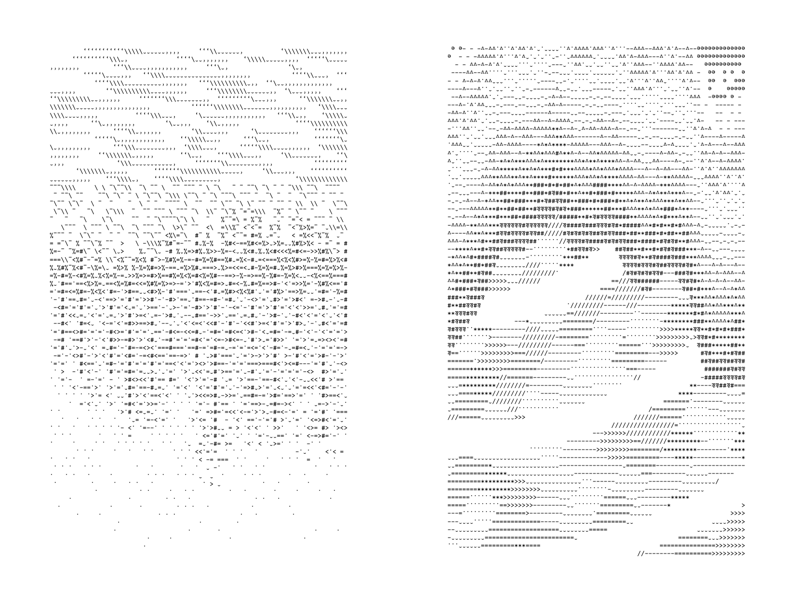$\hskip-1.5cm - - \text{ v} - \text{ v} - \text{ v} - \text{ v} - \text{ v} - \text{ v} - \text{ v} - \text{ v} - \text{ v} - \text{ v} - \text{ v} - \text{ v} - \text{ v} - \text{ v} - \text{ v} - \text{ v} - \text{ v} - \text{ v} - \text{ v} - \text{ v} - \text{ v} - \text{ v} - \text{ v} - \text{ v} - \text{ v} - \text{ v} - \text{ v} - \text{ v} - \text{ v} - \text{ v} - \text{ v} - \text{ v} - \text{ v} - \text{ v} - \text{ v} -$ - - V-V-V.VV^^^...^....^^----^^-\_^^....^^^.^^^.V...V..VV^....V.V-- 99 9 999  $\mathtt{VVV}^* \mathtt{V}^* \mathtt{V}^* \mathtt{V}^* \mathtt{V}^* \mathtt{V}^* \mathtt{V}^* \mathtt{V}^* \mathtt{V}^* \mathtt{V}^* \mathtt{V}^* \mathtt{V}^* \mathtt{V}^* \mathtt{V}^* \mathtt{V}^* \mathtt{V}^* \mathtt{V}^* \mathtt{V}^* \mathtt{V}^* \mathtt{V}^* \mathtt{V}^* \mathtt{V}^* \mathtt{V}^* \mathtt{V}^* \mathtt{V}^* \mathtt{V}^* \mathtt{V}^* \mathtt$  $-$ ...vv,..<sup>n</sup>--<sup>n</sup>-vv-vvvv-vvvvv\*\*v--v-'v-vv-vvv-v--<sup>n</sup>--<sup>n</sup>--<sup>n</sup>-------<sup>n</sup>-...----<sup>n</sup>-...vvv-v-v - - - $\mathbf{V} \mathbf{V} \mathbf{V} \mathbf{V} \mathbf{V} \mathbf{V} \mathbf{V} \mathbf{V} \mathbf{V} \mathbf{V} \mathbf{V} \mathbf{V} \mathbf{V} \mathbf{V} \mathbf{V} \mathbf{V} \mathbf{V} \mathbf{V} \mathbf{V} \mathbf{V} \mathbf{V} \mathbf{V} \mathbf{V} \mathbf{V} \mathbf{V} \mathbf{V} \mathbf{V} \mathbf{V} \mathbf{V} \mathbf{V} \mathbf{V} \mathbf{V} \mathbf{V} \mathbf{V} \mathbf{V} \mathbf{V} \mathbf{$ −−<sub>マ</sub>−−−△△△△△∗≠#\*\*##\*##\*\*#?????#?#?\*###\*\*\*\*\*\*##\*\*\*#△△△\*\*△\*△\*<sup>###</sup>\*△\*\*----。 **Δ----ΔΛ\*\*Λ\*\*\*#33#3393#33##/////#3#3#3#3##3#3##3##\*##\*\*###\*#\*##\*##\*\*##^ΛΛ\_\_\_\_\_\_\_\_** ##⅋##\*\*#\*\*#\*#?#?###\*\*\*-∆--。。---..... -\*^^\*\*\*######\$#^^^^^^^^^^^^^^^\*\*\*\*\*##\*\*\* \*^^\*^\*\*##\*##\$~~~~~~~~////'````\*\*\*\* 22222#2222#2##22222###\*^---^-^---^-\*^\*\*##\*\*#?##~~~~~~~////////// /#%#%#%#%%#---###%#\*\*\*^^-^-^^^~-^ AA#\*###\*\*##>>>>>>>>>>////// ==///????######-----????#??#\*Δ-Δ-Δ-Δ--ΔΔ-**A\*###\*#@###>>>>>>>** ====///////#@#--------@##\*#\*\*\*^--^-^\*^^ ###\*\*\*\*###  $#***##222#22$ ↓↓↓↓↓↓ == /////// --------- ' '-------\*\*\*\*\*\*\*#\*#Δ\*ΔΔΔΔA\*\*\*Δ  $***3337772$  $*#2##2$ %==``````>>>>>>>>>===//////---------<sup>-</sup>````````'=========---->>>>> #2#\*\*\*\*#\*#2## ##########  $-$ #####2222#2 \*\*---- 222##28#=== ======= '--------<sub>-----</sub>-/========= ' ' ' ' ' ' --- , , , , , , ,  $1111111$  ======  $\cdots \cdots \cdots \cdots$ --->>>>>>////////////\*\*\*\*\*\*```````````\*\*\*\*\* --------->>>>>>>>>>==///////\*\*\*\*\*\*\*\*\*--'''''''\*\*\* ======"''''''\*\*\*>>>>>>>>>------<sub>----</sub>-<sup>-</sup>''''''''''======<sub>---</sub>----------\*\*\*\*\* ====='''''''''''==>>>>>>>---------<sub>vv</sub>''''''''<mark>=========</mark><sub>vv</sub>--------\*  $\rightarrow$ \_\_\_\_'''''''''''========>----------<sub>voooooo</sub>o'========<sub>voooo</sub>  $5555$ ---<sub>-----</sub>\*\*\*\*\***=============**-----<sub>vvvvvvvvv=</sub>========<sub>vv</sub> ----->>>>> --<sub>vvvvvvvv</sub>===================<sub>vvvvvvv</sub>===== --------->>>>>> -...........**=========================**= ========....>>>>>>> ===============>>>>>>>> . . . <sub>. . . . . . .</sub> ==========\*\*\*==== //--------==========>>>>>>>>>

 $\ldots$   $\ldots$   $\ldots$   $\ldots$   $\ldots$   $\ldots$   $\ldots$   $\ldots$   $\ldots$   $\ldots$   $\ldots$   $\ldots$   $\ldots$   $\ldots$   $\ldots$   $\ldots$   $\ldots$   $\ldots$   $\ldots$   $\ldots$   $\ldots$   $\ldots$   $\ldots$   $\ldots$   $\ldots$   $\ldots$   $\ldots$   $\ldots$   $\ldots$   $\ldots$   $\ldots$   $\ldots$   $\ldots$   $\ldots$   $\ldots$   $\ldots$   $\ldots$  $\sum_{i=1}^{n}$  $'$ \\\\\\\\~~~,,,,,,,,  $\ldots \ldots \ldots \ldots \ldots$  $\mathcal{L}_{\text{SUSY}}$  $\langle \hat{u}_1 \rangle$ ,  $\cdots$  $\mathcal{L}_{\lambda}$  $\cdots$  $\frac{1}{2}$  (iii)  $\frac{1}{2}$  (iii)  $\frac{1}{2}$  $\cdots$  $- -$ ,,,,  $''\{\{\{\{\{\{\{\{\{\{\{\{\{\{\{\{\{1\}}}\}\}\}\}, \ldots, \ldots\},\} \}$  $\mathcal{N}\setminus\mathcal{N}\setminus\mathcal{N}\setminus\mathcal{N}$ \\\\\\\\~~~~~,,,,,,,,,,,,,,,,  $\frac{1}{2}$  $\frac{1}{1}$ \\\\\~~~~,,,,,  $\langle \cdot, \cdot, \cdot \rangle$  $\sim$ ,,,,  $\sum_{i=1}^{n}$  $\sqrt{2}$  $\sum_{i=1}^{n}$  $\sqrt{2}$  $\cdots$  $\cdots$  $\overline{\mathcal{C}_1}$  $\langle . , , , , , , , , , , \rangle$  $\sum_{i=1}^{n} \sum_{i=1}^{n} \binom{n}{i}$  $\left\langle \frac{1}{2} \frac{1}{2} \frac{1}{2} \frac{1}{2} \frac{1}{2} \frac{1}{2} \frac{1}{2} \frac{1}{2} \frac{1}{2} \frac{1}{2} \frac{1}{2} \frac{1}{2} \frac{1}{2} \frac{1}{2} \frac{1}{2} \frac{1}{2} \frac{1}{2} \frac{1}{2} \frac{1}{2} \frac{1}{2} \frac{1}{2} \frac{1}{2} \frac{1}{2} \frac{1}{2} \frac{1}{2} \frac{1}{2} \frac{1}{2} \frac{1}{2} \frac{1}{2} \frac{1}{2} \frac{1}{2$ , , , , , , , ,  $\overbrace{\cdots}^{(i)}$ ., . . . . . . . . . . . . . . . . . . . = = \\_ % \_\_\\_& \_\_ > \\_ -\\\%\_&#\_=\_\_\_ #~%-& -%#<-==%#<=%>>%=~~%#%>%< - =\_ = # ===\\~<%#~~~=%\_\\~<%~~=%<%\_#~>~%#%=%~=-#=%=%#==%#\_=%<-#\_=<===%<%<%#>=%-=%=%=%=% =%−#=%−<#%=%<sub>~</sub>%<%=%−=<sub>~</sub>>>%=>=#>%==#%=%<%=#<%=%#−−==>−%−=>==%-%#=-%=<sub>%</sub><<sub>>~</sub><%<==%===# = `=#=<=%#=−%<%<`#=−`>#==<sub>∽</sub><#>%−`#`===`<sub>~</sub>===<`#<sub>~</sub>=%#><%<%#`~`=`#%>`==>%=<sub>~</sub>~`=#=`-%=# .<br>. - . # . ==^#= . ^< . ==> . = . # . = .>># . - . -#> . ==^ . #==-=#- . =#^ . ^ . -<>. = . ^#<, \_ =->#^ . ^ -# ー<#="="#"=" <sub>v</sub>">"#"="<J=" J">=="-" J>-"="-#>">"#"-"-<="-"#"=">"#"="<'<'>>=" J#J"="=# ーー#<' '#=<。 '<-='<'=#>>==>#。'--。'。'<'<=<'<<#'-'#'-'<<#'>=<'#'='>'#>。'-'。#<'='=# '='#==<>#='='='-#<>='#'='='\_=='-#<=-<<=#\_-'=#='=#<=<'>#-'<\_=#='-=\_#-'<'-'<'='='> -=# '==#'>'-'<'#>>-=#>'>'<#。'-=#'='='=#<'='<=->#<=-。'#'>。='#>>' '='>'=。=><><'=# .<br>'='#'J'>-J'<' =J#='-'#==<><'==#==='==#-='=#-='=#-='='='=<='<'-#='-J=#=<J'-'='='=-> ー='-'<>#'-'>'<'#'='<#='-=<#<=='==−=>' # '。>#'==='、'='>->'>'#' >-'#'<'='>#-'-'>' .<br>'='=' ' #<=='..'=#-'='#'='='#'='=<'<'='><>'>#==-'='='==>===#<'><#---'='#'..'-<> ・・ > 『一 # '<'-' 「#'='=#= '=。。>。' 、'=' 「>' 、<<'=。#'>=='=' 。‐# ' 。'='-'='='='-<> 「#>'=' 、' .<br>' '='- ' =-'=' - ' >#<><<'#'== #=' '<'>'='-# '\_= '>'==-'==-#<'\_'<'-\_\_<<'# >'==  $\| \cdot \| \cdot \| \cdot \| \cdot \|_{\infty} < \varepsilon^{1/2} = - \varepsilon^{1/2} + \varepsilon^{1/2} + \varepsilon^{1/2} + \varepsilon^{1/2} > 0 \ \forall k , \varepsilon_k \in \mathcal{N} \setminus \{0,1\} \ \forall k > 1, \ \forall k > 1, \ \forall k > 1, \ \forall k > 1, \ \forall k > 1, \ \forall k > 1, \ \forall k > 1, \ \forall k > 1, \ \forall k > 1, \ \forall k > 1, \ \forall k > 1, \ \forall k > 1, \ \forall k > 1, \ \forall k > 1, \ \forall k > 1$  $\mathcal{L}(\mathcal{L}(\mathcal{L}(\mathcal{L}(\mathcal{L}(\mathcal{L}(\mathcal{L}(\mathcal{L}(\mathcal{L}(\mathcal{L}(\mathcal{L}(\mathcal{L}(\mathcal{L}(\mathcal{L}(\mathcal{L}(\mathcal{L}(\mathcal{L}(\mathcal{L}(\mathcal{L}(\mathcal{L}(\mathcal{L}(\mathcal{L}(\mathcal{L}(\mathcal{L}(\mathcal{L}(\mathcal{L}(\mathcal{L}(\mathcal{L}(\mathcal{L}(\mathcal{L}(\mathcal{L}(\mathcal{L}(\mathcal{L}(\mathcal{L}(\mathcal{L}(\mathcal{L}(\mathcal{$ in the content of the content of the second of content of the content of the content of the content of the content of the content of the content of the content of the content of the content of the content of the content o  $\mathcal{A}^{\mathcal{A}}$  , and the set of the set of the set of the set of the set of the set of the set of the set of the set of the set of the set of the set of the set of the set of the set of the set of the set of the set of t  $\mathcal{L}^{\mathcal{L}}$  and  $\mathcal{L}^{\mathcal{L}}$  and  $\mathcal{L}^{\mathcal{L}}$  and  $\mathcal{L}^{\mathcal{L}}$  and  $\mathcal{L}^{\mathcal{L}}$  and  $\mathcal{L}^{\mathcal{L}}$  and  $\mathcal{L}^{\mathcal{L}}$  and  $\mathcal{L}^{\mathcal{L}}$  and  $\mathcal{L}^{\mathcal{L}}$  and  $\mathcal{L}^{\mathcal{L}}$  and  $\mathcal{L}^{\mathcal{L}}$  and

アントライト マニュ ニュー・ブラン  $\label{eq:2.1} \left\langle \mathbf{r}^{(1)}_{\mathbf{r}}\cdot\mathbf{r}^{(2)}_{\mathbf{r}}\cdot\mathbf{r}^{(3)}_{\mathbf{r}}\right\rangle =\left\langle \mathbf{r}^{(1)}_{\mathbf{r}}\cdot\mathbf{r}^{(3)}_{\mathbf{r}}\cdot\mathbf{r}^{(4)}_{\mathbf{r}}\cdot\mathbf{r}^{(5)}_{\mathbf{r}}\cdot\mathbf{r}^{(6)}_{\mathbf{r}}\cdot\mathbf{r}^{(5)}_{\mathbf{r}}\cdot\mathbf{r}^{(6)}_{\mathbf{r}}\cdot\mathbf{r}^{(7)}$  $\mathcal{L}(\mathcal{L}(\mathcal{L}(\mathcal{L}(\mathcal{L}(\mathcal{L}(\mathcal{L}(\mathcal{L}(\mathcal{L}(\mathcal{L}(\mathcal{L}(\mathcal{L}(\mathcal{L}(\mathcal{L}(\mathcal{L}(\mathcal{L}(\mathcal{L}(\mathcal{L}(\mathcal{L}(\mathcal{L}(\mathcal{L}(\mathcal{L}(\mathcal{L}(\mathcal{L}(\mathcal{L}(\mathcal{L}(\mathcal{L}(\mathcal{L}(\mathcal{L}(\mathcal{L}(\mathcal{L}(\mathcal{L}(\mathcal{L}(\mathcal{L}(\mathcal{L}(\mathcal{L}(\mathcal{$ the contract of the contract of the  $\mathcal{L}(\mathcal{A})$  and  $\mathcal{L}(\mathcal{A})$  . where  $\alpha$  is the contract of  $\alpha$  ,  $\alpha$  , and  $\alpha$  , and  $\alpha$  , and  $\alpha$  $\label{eq:2.1} \mathcal{L}_{\mathcal{A}}(\mathcal{A}) = \mathcal{L}_{\mathcal{A}}(\mathcal{A}) = \mathcal{L}_{\mathcal{A}}(\mathcal{A}) = \mathcal{L}_{\mathcal{A}}(\mathcal{A}) = \mathcal{L}_{\mathcal{A}}(\mathcal{A}) = \mathcal{L}_{\mathcal{A}}(\mathcal{A})$  $\mathcal{L}_{\mathcal{A}}$  and  $\mathcal{L}_{\mathcal{A}}$  and  $\mathcal{L}_{\mathcal{A}}$  and  $\mathcal{L}_{\mathcal{A}}$ and a series of the series of the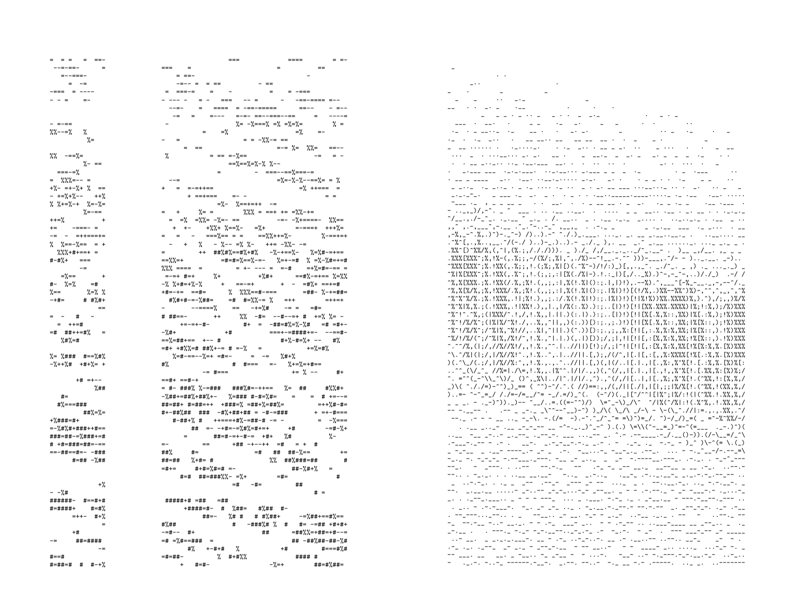$=$   $=$   $=$  $= \frac{9}{2}-\frac{9}{2}$ %  $\gamma =$  $\frac{9}{2}$   $\frac{9}{2}$   $\frac{9}{2}$   $\frac{9}{2}$   $\frac{9}{2}$   $\frac{9}{2}$   $\frac{9}{2}$   $\frac{9}{2}$   $\frac{9}{2}$   $\frac{9}{2}$   $\frac{9}{2}$   $\frac{9}{2}$   $\frac{9}{2}$   $\frac{9}{2}$   $\frac{9}{2}$   $\frac{9}{2}$   $\frac{9}{2}$   $\frac{9}{2}$   $\frac{9}{2}$   $\frac{9}{2}$   $\frac{9}{2}$   $\frac{9}{2}$   $\frac{9}{6} - \frac{1}{2} =$  $==-=%$  $=$   $\frac{2}{3}$   $\frac{2}{3}$   $\frac{2}{3}$   $\frac{2}{3}$   $\frac{2}{3}$   $\frac{2}{3}$   $\frac{2}{3}$   $\frac{2}{3}$   $\frac{2}{3}$   $\frac{2}{3}$   $\frac{2}{3}$   $\frac{2}{3}$   $\frac{2}{3}$   $\frac{2}{3}$   $\frac{2}{3}$   $\frac{2}{3}$   $\frac{2}{3}$   $\frac{2}{3}$   $\frac{2}{3}$   $\frac{2}{3}$   $\frac{2}{3}$   $\frac{2}{3$  $+$ % - =+-% + %  $- + =\frac{9}{6} + \frac{9}{6} - - + \frac{9}{6}$  $\frac{9}{6}$  %+=%-+ %=-%=  $\frac{9}{6} = - =$  $++=$ %  $+=$  $=$   $+$   $+$   $=$   $=$   $+$   $=$  $=$  $\frac{9}{2}$   $\frac{9}{2} = -\frac{9}{2} = 7$  = +  $\frac{2}{3}$   $\frac{2}{3}$   $\frac{2}{3}$  + # + = = +  $\# - \# \% +$  $=$  $=$  $=$  $=\frac{9}{6}$  = =  $# -$ %=%  $=$ #  $\frac{9}{6}$  ==  $\frac{9}{6} = \frac{9}{6}$  %  $-+#=$ #  $\#$ %#+  $=$   $#$  $++=#$  $=$ # ##++=#%  $\frac{9}{4}\frac{4}{4}\frac{9}{8}$  = #  $\% = \frac{6}{2} \# \# \# \qquad \# = = \frac{6}{2} \# \%$  $-\frac{9}{6}$ ++ $\frac{9}{6}$ # +#+ $\frac{9}{6}$ = +  $+$  #  $=$  + - - $%##$  $+ \#$ % ===### ##%=%=  $+$ %###=#+  $=-\frac{9}{6}\frac{1}{6}\frac{2}{6}\frac{1}{6}\frac{1}{6}\frac{1}{6}\frac{1}{6}\frac{1}{6}\frac{1}{6}\frac{1}{6}\frac{1}{6}\frac{1}{6}\frac{1}{6}\frac{1}{6}\frac{1}{6}\frac{1}{6}\frac{1}{6}\frac{1}{6}\frac{1}{6}\frac{1}{6}\frac{1}{6}\frac{1}{6}\frac{1}{6}\frac{1}{6}\frac{1}{6}\frac{1}{6}\frac{1}{6}\frac{1}{6}\frac{1}{6}\frac{1}{6}\frac{1}{6}\frac{1}{6}\frac{1}{6}\frac{1}{6}\frac{1}{6}\frac{1}{6}\frac{$ ###=##-=%###+=#  $\#$  + $\#$ = $\#$  $\#$  $\#$ = $\#$  $\#$ =-==  $=-##=-#=-$  -###  $#= ## - %##$  $+$ %  $- -\frac{9}{4}$ ######+ #==#+#  $# = # # # # +$  $#=#$ %  $= + + #+$ %  $\overline{a}$  $+$ # ##=####

 $# == #$ 

 $\# = \# + = \#$  #  $\# - +\frac{9}{2}$ 

 $=\% = \% = \% =$  $\gamma$  $=$ %  $-$ %  $=$  =  $-\frac{9}{2}-$  = ==  $\overline{a}$  $=$  $=- =$  %=  $\frac{9}{2} =$  $=$  $= \gamma$  $=$   $=$   $=$   $\frac{9}{2}$   $=$  $=-\%=-\%=\%-\%$   $\%$ - ===--==%===-=  $=\%=-\%-\%$  - - = =  $\%$  = =  $\%$  $\equiv$  $=-=++==$  $=\frac{9}{6}$  ++=== =  $+ = = + = = =$  $=$   $=$  $=\% -$  %==+=++ -=  $\frac{1}{2}\frac{1}{2}\frac{1}{2}\frac{1}{2} = - + + - = \frac{1}{2}\frac{1}{2}- + +$  $\gamma =$  =  $-- -\%$  + = = = =  $-\%$  $=$ %  $=\frac{9}{2}\% = -\frac{9}{2} = -$  ==  $+ + + +$ %%+ %==%- $=$ %+  $=-=-=+ + ++% =$  $=-\frac{9}{6}-\frac{1}{6}$  $==$   $\frac{9}{2}$   $==$   $=$   $=$  $\frac{9}{6}-=-+$  $=$  $-\frac{\nu}{4}$  - =  $-\frac{\nu}{4}$   $\frac{\nu}{4}$  $\ddot{+}$  $\gamma$  $++=-\frac{9}{2}- \equiv$  $++$ ##%#%==#%+#% -%-+==%- $\frac{9}{6}$  =  $\frac{9}{6}$  # -=+==  $=$  =  $\frac{9}{2}$   $\frac{9}{2}$  = + =#=#=%==%-=-%=+−=# % =%−%#=+=#  $= + - - - =$  $\frac{9}{2}\frac{9}{2}\frac{9}{2}$  ====  $---$ #  $=$  +%=#=-== =  $=-=+$  #=+  $\frac{9}{4}$  $+$ %#+  $=$  =  $\frac{4}{5}$  / - = + = =  $\frac{9}{5}$  =  $\frac{9}{5}$  $-\%$  % +#=+%-%  $==-=+$  $+$  -  $=$   $\#$ % +  $=$   $=$   $+$   $=$   $\#$  $\%$  %%%==#-===  $+4=-+$  =  $=-4=$  $=$ ##- %-+=##=  $\#$ %#+#-=-%##=  $=$ # #=%%-= %  $= + + = +$  $-+-\%$ #  $--- == == ?$  $\overline{a}$  $-+$  $\frac{9}{2}$   $\frac{9}{2}$   $\frac{4}{2}$  = # ##==---#--=+ # +=% %= - $++$  $=$   $-$ ##=#%=%-%# =# =#+- $#+$  $+=-=+-#-$ ===+-=####+=- --==#- $-$ %#+  $=-\frac{9}{2}$ =##+== +-- #  $\# + \frac{9}{6} - \# = \frac{9}{6} + \ #$ %  $=$ #+ +#%%=# ##%+-= # =-%  $+ = \% = #%$  $=$  $\frac{9}{6}$ =#-==-- $\frac{9}{6}$ =+ =#=- $\equiv$   $\equiv$  $\frac{9}{4}$  # + %  $#$ % #  $# ==$  $\frac{9}{6}$  + =  $\frac{9}{6}$  = + # = =  $+=$  % -- $#+$  $= 44 + 4 = 4$  $=$  #- ###% %-=### ###%#=-++== %= ##  $\#$ %%#+  $-\%$ ##+=##%+##%+- %=####++=%#=  $=$  #  $+$   $=$   $=$ ##=##+ #=##=++ +###=% =##+%=##%=  $= + +$ %#-#=  $\#$ +-##%## ### -#%+##+## = -#-=###  $+ = + - # ==$  $\# - \# + +\%$  #  $++ == = +\#$ %-=##-# -= - $=$   $-\%$   $=$   $=$ ## =- -+#=-=%#%=#+=+  $+#$  $- = # - \% +$  $\#$ #=#-=+-#-= +#+ %#  $\frac{9}{6}$  $+##$   $-+--++$   $=#$  $= +$  $=$ # ## ##-%==  $##$ %  $#=$ ##=##  $\frac{9}{6} + \frac{4}{6} = \frac{4}{6}$  $\frac{2}{3}$  ##%###=##  $= # +=$  $\#$ +#=%#=# =- $\# \# - \frac{9}{4} + \frac{9}{4}$  $#=#$  ##=###%%- =%+  $=$ # $=$  $#$  $-+$  $-$ # $##$  $# =$  $\texttt{#}$  $+$ ####=#- # %##= #%## #- $\#$ #=- %# # # #%##+  $--\frac{9}{6}$ ##+==#%==  $#$ %##  $-$ ###%# %#  $# = -= ## + + # +$  $#$  $- = # -- #+$  $##$ =##%%=+##=+#--=  $=$  #  $=$   $\frac{9}{4}$  #  $=$   $=$  # # # ## -##%##-##-%#

%  $\# = = = \# \frac{9}{6} \#$ #%  $+-#+#$  $+#$  $=$  $\#$  $=$  $\#$  $\#$  $\%$  #+#%% #### # ##=#%##=  $+$  $#=# -\frac{9}{6}$ =+

 $\sim$  $\sim$   $\sim$   $\sim$ الحوار فوارد فوقوق فالحارب المار  $\sim$   $\sim$ the control of the control of the a componente a constituída de la constitución de la constitución de la constitución de la constitución de la c and the contract of the contract of the contract of the contract of the contract of the contract of the contract of the contract of the contract of the contract of the contract of the contract of the contract of the contra a de el escritor da la asemplación da las características en la especial  $\sim$ and the state of the state of the state of the company state of the state of the state of the state of the state of the state of the state of the state of the state of the state of the state of the state of the state of th and the company of the second contract the component of the company of the company of the company of the company of the company of the company of the company of the company of the company of the company of the company of t التفقه فقعان التابقة فالفعال فبالرافع والقائد فتناقل والراجا الجفار والجاري فالقابل فالوارقة فقفة  $-$  ...,  $)/$ ,  $-$ <u> 1986 - المحمد المحمد المحمد المحمد المحمد المحمد المحمد المحمد المحمد المحمد المحمد المحمد المحمد ا</u> ووالي البيور والتوبوليون المروودين التوبر بيور والرابي والمتاريخ والتولي فالتولي وكأخرأ وأوليناه  $\frac{1}{2} \int_{0}^{\infty} \frac{1}{2} \left( \frac{1}{2} \left( \frac{1}{2} \left( \frac{1}{2} \right) \left( \frac{1}{2} \right) \left( \frac{1}{2} \right) - \frac{1}{2} \left( \frac{1}{2} \right) \left( \frac{1}{2} \right) \right) + \frac{1}{2} \left( \frac{1}{2} \left( \frac{1}{2} \right) \left( \frac{1}{2} \right) - \frac{1}{2} \left( \frac{1}{2} \right) \left( \frac{1}{2} \right) \left( \frac{1}{2} \right) \right) + \frac{1}{$  $\frac{1}{2}$   $\frac{1}{2}$   $\frac{1}{2}$   $\frac{1}{2}$   $\frac{1}{2}$   $\frac{1}{2}$   $\frac{1}{2}$   $\frac{1}{2}$   $\frac{1}{2}$   $\frac{1}{2}$   $\frac{1}{2}$   $\frac{1}{2}$   $\frac{1}{2}$   $\frac{1}{2}$   $\frac{1}{2}$   $\frac{1}{2}$   $\frac{1}{2}$   $\frac{1}{2}$   $\frac{1}{2}$   $\frac{1}{2}$   $\frac{1}{2}$   $\frac{1}{2}$   $\gamma_*,\mathcal{K}[\mathcal{K},\mathcal{K},\mathcal{K},\mathcal{K}]\mathcal{K},\mathcal{K},\mathcal{K},\mathcal{K},\mathcal{K}]\cup\{0,\mathcal{K},\mathcal{K}[\mathcal{K},\mathcal{K}]\cup\{\mathcal{K},\mathcal{K}[\mathcal{K},\mathcal{K}]\}\cup\mathcal{K}[\mathcal{K},\mathcal{K}]\cup\{\mathcal{K},\mathcal{K},\mathcal{K},\mathcal{K},\mathcal{K},\mathcal{K},\mathcal{K},\mathcal{K},\mathcal{K},\mathcal{K},\mathcal{K},\mathcal{K},\mathcal{$  $\frac{1}{2}$   $\frac{1}{2}$   $\frac{1}{2}$   $\frac{1}{2}$   $\frac{1}{2}$   $\frac{1}{2}$   $\frac{1}{2}$   $\frac{1}{2}$   $\frac{1}{2}$   $\frac{1}{2}$   $\frac{1}{2}$   $\frac{1}{2}$   $\frac{1}{2}$   $\frac{1}{2}$   $\frac{1}{2}$   $\frac{1}{2}$   $\frac{1}{2}$   $\frac{1}{2}$   $\frac{1}{2}$   $\frac{1}{2}$   $\frac{1}{2}$   $\frac{1}{2}$   $\gamma_{k}^{*}(1,1),\ldots,(1,1),\ldots,(1,1),\ldots,(1,1),\ldots,(1,1),\ldots,(1,1),\ldots,(1,1),\ldots,(1,1),\ldots,(1,1),\ldots,(1,1),\ldots,(1,1),\ldots,(1,1),\ldots,(1,1),\ldots,(1,1),\ldots,(1,1),\ldots,(1,1),\ldots,(1,1),\ldots,(1,1),\ldots,(1,1),\ldots,(1,1),\ldots,(1,1),\ldots,(1,1),\ldots,(1,1),\ldots,(1,1),\ldots,(1,1),\ldots,(1,1),\ldots,(1,1),$  $\gamma_{s}^{\prime}$ :  $\gamma_{s}$ , ;  $(\frac{1}{2},\frac{1}{2},\frac{1}{2},\frac{1}{2},\frac{1}{2},\frac{1}{2},\frac{1}{2},\frac{1}{2},\frac{1}{2},\frac{1}{2},\frac{1}{2},\frac{1}{2},\frac{1}{2},\frac{1}{2},\frac{1}{2},\frac{1}{2},\frac{1}{2},\frac{1}{2},\frac{1}{2},\frac{1}{2},\frac{1}{2},\frac{1}{2},\frac{1}{2},\frac{1}{2},\frac{1}{2},\frac{1}{2},\frac{1}{2},\frac{1}{2},$  $\gamma^*$ :/%/%;(1%1%/ $\gamma^*$ !./,..%,, $\gamma$ |,,)(..))[):;,,;.)!)[!|[%[.%,%::,%%;|%[%::,);!%)%%%  $\gamma^* \colon \mathcal{U}/\mathcal{U}^* \ ; \mathcal{U}/\mathcal{U}, \gamma_* \mid \mathcal{U}, \ldots \mathcal{U}, \mathcal{U}, \mathcal{U}, \mathcal{U}, \mathcal{U}, \mathcal{U}, \mathcal{U}, \mathcal{U}, \mathcal{U}, \mathcal{U}, \mathcal{U}, \mathcal{U}, \mathcal{U}, \mathcal{U}, \mathcal{U}, \mathcal{U}, \mathcal{U}, \mathcal{U}, \mathcal{U}, \mathcal{U}, \mathcal{U}, \mathcal{U}, \mathcal{U}, \mathcal{U}, \mathcal{U}, \mathcal{U}, \mathcal{U}, \mathcal{U}, \mathcal{$  $\gamma''_k/2/\gamma_1'(\gamma_1/\gamma'_k|\gamma_2/\gamma_3|\gamma_3,\gamma_4|\gamma_4,\gamma_5)$  $\hat{N}$ ,  $\hat{N}$  $\hat{N}$  $\hat{N}$  $\hat{N}$  $\hat{N}$  $\hat{N}$  $\hat{N}$  $\hat{N}$ ,  $\hat{N}$ ,  $\hat{N}$ ,  $\hat{N}$ ,  $\hat{N}$ ,  $\hat{N}$ ,  $\hat{N}$ ,  $\hat{N}$ ,  $\hat{N}$ ,  $\hat{N}$ ,  $\hat{N}$ ,  $\hat{N}$ ,  $\hat{N}$ ,  $\hat{N}$ ,  $\hat{N}$ ,  $\hat{N}$ ,  $\hat{N}$ ,  $\hat{N}$ , )(. \\_/(,,/,|/%//%; `,,!,%,,,,, `,,//||,[,)(,|(/,,|[,|,,|[,,%;,%'%[!,[.;%,%,[%)%[;  $\ldots$   $(\sqrt{2}-1/\sqrt{2}-1/\sqrt{2}-1$  .  $\sqrt{2}-1/\sqrt{2}-1/2$  .  $\sqrt{2}-1/2$  .  $\sqrt{2}(\sqrt{2}-1/\sqrt{2}-1/\sqrt{2}-1)/2$  .  $\sqrt{2}(\sqrt{2}-1/\sqrt{2}-1/\sqrt{2}-1)/2$  .  $\sqrt{2}(\sqrt{2}-1/\sqrt{2}-1/\sqrt{2}-1)/2$  .  $\sqrt{2}(\sqrt{2}-1/\sqrt{2}-1/\sqrt{2}-1)/2$  .  $\sqrt{2}(\sqrt{2}-1/\sqrt{2}-1/\sqrt{2}-1)/2$  .  $\sqrt{2}(\sqrt{2$ ^. =^^(\_-^\\\_^\)/\_ ()^,\_%\|../|^.|/|/.,^).,^(/,/|[..|,|[.,%;,%^%[!.(^%%,!:[%,%,/  $\langle 1, (1,1,1) \rangle$  (  $\langle 1, (1,1,1) \rangle$  = = ( ^^)-^/.^.( //)==;,,/(,/||[./|,|[|,;||%/%[!.(^%%,!(%%,%,/) )..== ^-^\_=\_/ /./=-/=\_\_/^= -\_/.=/)\_^(. (-^/)(.\_|[^/^^|[|%^;|%/:!(|(^%%.!.%%,// - \_ \_ \_ \_ \_ \_ \_ \_ \_ \_ \_ \_ \_ \_ \_\^^--^\_\_)-^) )\_/\( \\_/\ \_/-\ - \-(\\_^.//|:=.,.,.%%,.^/ . .\_\_ \_..\_- .\_\_ \_-\_-\_- \_\_ -^-.\_.)^\_-^ ).(.) \=\\(^-\_\_=\_)^=-^(=\_\_\_ .\_-.)^)( voluntario volvi luna la prodoccia volvi volvi la contra DCMX-100, VVIII \_ -\_-\_\_ \_ .\_\_- ----\_.- \_- \_ .-. -\_....-\_ -\_-\_.. .--\_. ... - -.\_^\_\_-/-.--\_=\ maa minimaa markaalaanna kolonia oli on on minimaa koostalaan ka laheen kuning متمعتها الموجه كالمواط كالمحتل المتملك معيانهم ومارا المعاد والمتمعات المعتهر والتمعمون مادا وومع م المعروف المعروف المعروف المعروف المعروف التي المعروف المعروف المعروف المعروف المعروف المعروف المعروف a stranda a la anciente del monte de la casa a la medida a la medida del populación בקונים המקורים את המשליחה היא נוגבתם הבין המשליחה הקונים לאורח. .<br>In a straightforward of the completion of all a straight and a literature of the complete and a a da manusia no che se a codo non montre la critera di c معان ومعاون المعادل العماري الأولى والأعروب العروبي مالعرب الأولى من المورد التي تم المعمول والمعمولية الم المراجل المتوقفي لين <u>المتوقف ومر</u>د من فقوفي في قال من فيول الوقت في مردون فيمكن الموقف الوقت ووووون المواضح والورون المعمار الرازا المواريخ المعاريم والمعاريب والمعتوي ومواضع الموارد والمعمار والرازان والوروس المنافس المناسب المتعدد المستدرات المناسب المتعدم والمنافس المناسب المتعدد المناسب المناسب المناسب ی به خوشبند اینتند بنی خورزی است. است استان معاشر پردهوس خاربی می ارمنی بر بر اینتر the sales and sales in the control of the second states with the three productions are con-متحقققين والروازي والمتحقق فرفاي ورفاته ورفع ومعروف وكالمتحققة وفرزه ومراجع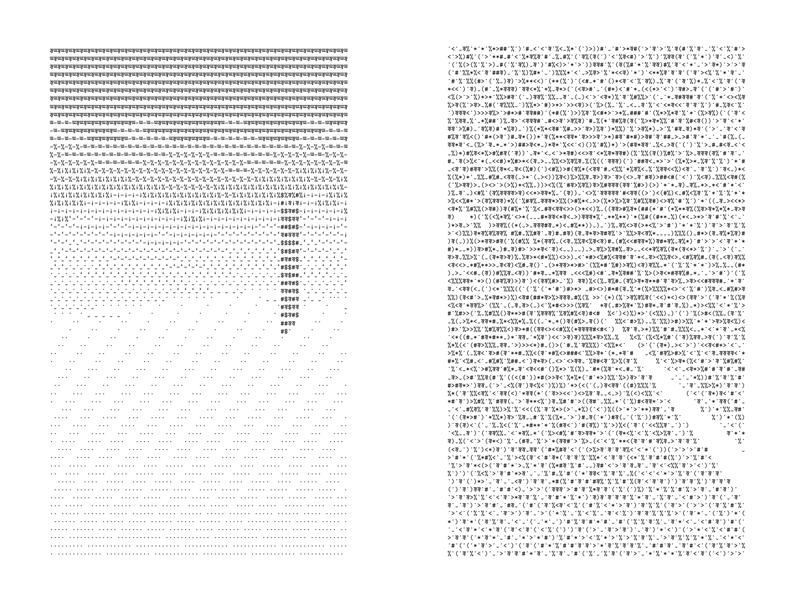'<'\_3%'\*'\*'\*'%\*>##'%')'#~<'<'3'%<-%\*'(')>))#'\_'#'>\*3#('>'3'>'%'3(#'%'3'-'%'<'%'#'> <.>%)#%.(.>.\*\*#^#.<.&\*&%\*#.^\*&^!#&^(.&&(.).<.%&<#).>.&.).%&&@(.\.\*.).&^^^; . ( . % ( > ( % . % . > ) ^# ( . % . 3 & ) ^ \* , \* ( > ) . \* . > . ) ) 32 & + . & . ( 3 (  $\%$  + . \* .  $\%$  . 32) #  $\%$  . 3 . < . \* . ^ . > . 3 \* ) . > . > . 3 ( `#`%\*%<`&`##&) \_ ^%`%)%#\*`\_`)%%%\*`<`\_>%&>`%`\*<<&)`\*`)`<\*\*%&`&`Q``^&`><%`%`\*`&`\_` .#'%'%%(#>'('%~)3)'>%\*\*<<)'(\*\*(%')'(<#~\*`#'()\*<3'<'%'3%)~%'3'('3'%)\*~%'<'%'3'('3  $<\!\!\backslash\!\!/\,(>.\,>',\mathbb{V}\times\!\!>*\,.\,\mathbb{V}\times\!\!>^3\!\!+\,3\,.\,(\;.\;'\;) \mathop{33}\!\!/\,\mathbb{V}\times\!\!/\,3\,.\,\mathbb{V}\times\!\!-\,3\,.\,(\;.\;')<.\,>\,<\!\!\cdot\!\!>\,3\,\cdot\,)\times\!\!>\,3\,\cdot\,.\,\mathbb{V}\times\!\!>\,(\;.\;'\;.\;*\;.\;3\,\mathbb{V}\times\!\!>\,4\,\mathbb{V}\times\!\!>\,4\,\mathbb{V}\times\!\!>\,4\,\mathbb{V}\times\!\!$ %>%(%'>%>~%#('%%%%~')%%\*>'#)>\*>'>><%)>('%>(%~'%'~<~~~%'%'<'<\*%<<'%'%'')'#~%%<'%' ') ????<')>>>??',>'>#\*>#'???##)'(\*#(',')>)',??'',<#\*>'>\*',-###'#'(',\*>',\*?')' \*'(',>??')('('?'< ,%'%???%'~\*%##')%~?>'<?????#'~#<>?}'>?%??)'#~%(\*'?#%?{?{'%>\*?\*%%'#'?'%#<?}())'>'?}'<'\*' 373.>%#) \_ .3%3) # .\*%3) \_ .)%(\*%\*<3# .%#~>> .3>)%3. ) \*%%) .%.>3%\*) ~> .%.#3~3) \*3. ( .>. ^ .3. < .3 #%?`?%<()`#\*(>?`)#~?\*())\*`?(%\*\*<??\*\*`?>>>?`>\*)#?`#\*#)>?#`?`##~>~>#`?`\*`~`#(%~(~ ???\*?`<\_(%>`?~~\*`>)##>?<\*\_)\*?\*`%<<`<)()%`#%)\*)`>(#?\*??`\_%<\_>?(`(`)'%`>\_#\_#<?\_<`<  $\langle 0,1,2 \rangle$  +  $\langle 3,4,4,4,4,5 \rangle$  (  $\langle 3,0 \rangle$  )  $\langle 3,4,4,5 \rangle$  (  $\langle 3,4,4,4 \rangle$  (  $\langle 4,4,4,4 \rangle$  ) (  $\langle 5,1,1,2 \rangle$  (  $\langle 3,1,1,2 \rangle$  )  $\langle 4,1,2 \rangle$ #. `?(>%<`\*(\_<<#)\*%#>\*<(??.)-%%<>%?%?%?\_%((('???)(`)`##?<\_\*>`>`(%\*%>\*\_%?'%')`\*`# ~<3.3)#33.>%%(3\*<~3<(%#)(.)<#%)>#(3%\*(<33.#~<%%.\*%3%<~%.%3%<<%)<3.~3.%).3</> %(%\*)\*`~%%~#%#~<%%(~>\*`(~><))%%<)%>%%%%%%>'%>(<>~%`#%)>##<#(`<`)`%<%)~%%%<%#(% ( '%>???)>\_(><> '>(>%)\*<%%\_))><%(%'#??>%??%}??????????\*\*??(>)'\*'\*~??)\_?%~\*>\_\*<'#'\*'<' >%<<%#\*`>(@%@@@\\*%(`%#@%~@@@\*>%%(>#%\*<~>>(%\*>%>%@`%#%%@#)<>@%`#`%`)`\*`((~@~><<\*> <?\*\*\;`\#\\(>?#))?(#\\*`\;\<\_#?<??<>>(>\*<<)\;\((??>#\??\*(##(\*`#`(\*\\*\*?\(\'?>?\*\+\\\*~?>? ?}) \*)('%(<%\*?%'<>\*(~~~#\*??<\*?<->)????\*%'~\*\*%\*\*)'\*(%#((#\*\*~%)(\*<~>\*>'?'#'%'<'~' )\*>??\_>`%", )>???%((\*(\_>\_????#??\_\*)<\_#%\*\*))\_)\_`)%\_?%<>?(>\*<%'>'#')'\*'\*'%')'?'>'?'%'% >`<)%%)?\*\*?%?%???% #%#~%%#?`~?)#~#?)(?~?\*\*?>?#?%`>`%%>?<?%\*~~~~)%%%()~#\*>(?~?%\*%?)# #)\*~~\*))?>#%\*~)#~?)#>'>>\*?<'?)<~~)~~)~>~?%>%?#%~?>~~<<\*?%?%(?\*(?<\*>'%')'~'>'('~' 7}>?}-%%>%'(~(?}\*?>?})%-%??>\*<#\*%%)<>>)~<'\*#><%#%<???#'?'\*<-??><%%?<>-<#%?%#~(?}(~<??)?%% <?<<>\_\*#%\*\*>>\_?<?)<%#\_?()'\_(>\*??>>\*>#>'(%%\*#'%#)>?%)<?)?%\;~\*'('%'%'\*'\*')>%\_%\_\_(#\* )\_>\_'<<#\_(?))#%%?\_<?))'#\*?~~#{??? \_<\??} \<#'\_?\*%?##'%'%>(>?<\*#??}#\_\*\_'\_'>'#')'('% <%%%%33\*`\*>()(#3%3)>)3')<(33%#>~'%) 33)%<(%~3%#~(3%>3\*3\*\*#'3'3>%~>3><<#333#~'\*'3' 7 . < 777 (< \_ ( ' )< \* '%%% ( ( ' ( ' % ' ( ' \* ' # ' ) #> \*> \_ #><>) #\*#(7 \_% \* (%>%%%% \*<> ' < ' % ' #' )%7 \_< \_#%#>7 %%)(%<#'>~%\*%#\*>)%)<%#(##\*%>%>%%%%;#%(% >>'(\*)(%'>%%%%('<<)\*<)<>(%%">'('%'\*'%(%% #'%#>>('%~%#%%()@\*\*>>#(@'%@@%%"%@%#%<@)#<# %<')<)%)\*>'(<%%)~)'(')'%(>#<(%%~(@'%' -%(->%\*<-%%\*#-%\*<%%\*%-%((-'\*-\*()%(#%>-%()(''%%<'#>%)--%'%%)>#)>%%'\*'\*'>%>%%<%)< )#>`%>>%%`%#%@%%<)@>\*#((@@<><<#%%(\*@@@@#<#<') %@`@.>\*)%%`#`#~%%%<~~\*`<`\*`@`~\*<% '<\*((#~\*`#?\*#\*\*~)\*`???~`\*%?')<<`>?)?)%%%\*?>%%~%~~%~(%<%\*%#'(`?)%???~>?(`)`?`% %\*%(<'(#?>%%%~???')>><\*)#~()>('#~%'?%%%)'<%%\*<' (>'('(?\*)~><'>')'<<?<\*#>'<'-' >%\*%'(~%3<'3>#(3'\*\*#~%%<(3'\*#%<>###<'%%>3\*'(\*~\*3'#''~<%'#3%>#>%'<'%'<'%23%33<'\* #\*%`<%#~<`~#%#%`%##~<`)@\*@>(~<>`<>%@~`%@#<@`%>%(@`%```%`<`%>@\*(%<`#`>`@`%#%#%` ・%・<-\*<%.>#%33.#%\*~3.<3<<#.()%\*>.%(%)^.#\*(%3.\*<~#^.%. .<.<.^<\$\*>%#.#.\$.#.^\$# -3>-(>#'%%3(#'%'((<(#'))\*#(>>3<'%\*%\*('#'\*>)%%'%>)3>'3'3  $\sim$ ,  $\sim$ ,  $\sim$ ,  $\star$  $\langle \rangle$ ) #,  $\langle \cdot, \cdot \rangle$ ,  $\sim$ ,  $\langle \cdot, \cdot \rangle$ #>#`\*\*`)`#`\`\``\\\`\\`\\``\\\\``\*>\\\`\`\\`\\``\*\\\\`\\`\\\\\``\  $\% * (0.3.8\% < 2.8\% < 0.2\%)$  ,  $\frac{1}{2}$  ,  $\frac{1}{2}$  ,  $\frac{1}{2}$  ,  $\frac{1}{2}$  ,  $\frac{1}{2}$  ,  $\frac{1}{2}$  ,  $\frac{1}{2}$  ,  $\frac{1}{2}$  ,  $\frac{1}{2}$  ,  $\frac{1}{2}$  ,  $\frac{1}{2}$  ,  $\frac{1}{2}$  ,  $\frac{1}{2}$  ,  $\frac{1}{2}$  ,  $\frac{1}{2}$  ,  $\frac{1}{2}$  ,  $(. < . (.3*)8 < .4. .$ \*#`?`)>%#%`%`#??(\_`>`?\*\*<%`)?\%#`#`>((?#`\_%%\_\*`(`%)#<??\*`>`<  $.3.7.*.33(.4.7)$ \_`<`\_#%?%'?`%'%)>%'%'<<((%'?'%\*>(>'\_\*%)('<')%((>'\*'>'\*\*)???'\_'?  $\%$ .)  $.*$   $\%$ %  $\frac{1}{2}$   $\%$  + .  $\cdot ((\mathcal{A}^{*})^{\#})^{\ast}/\mathcal{A}^{*}$  ,  $\mathcal{A}^{*}$  ,  $\mathcal{A}^{*}$  ,  $\mathcal{A}^{*}$  ,  $\mathcal{A}^{*}$  ,  $\mathcal{A}^{*}$  ,  $\mathcal{A}^{*}$  ,  $\mathcal{A}^{*}$  ,  $\mathcal{A}^{*}$  ,  $\mathcal{A}^{*}$  ,  $\mathcal{A}^{*}$  ,  $\mathcal{A}^{*}$  ,  $\mathcal{A}^{*}$  ,  $\mathcal{A}^{*}$  ,  $\mathcal{$  $\%$ .).\*. $(\%)$  $\cdot$   $\cdot$   $\cdot$   $\cdot$   $\cdot$   $\cdot$ . <%^^3. ) . ( . 33%%^. < . \*3%^\* . ( . %><#\$. # . 3>33\* . > . ( . (3\*<%. < . %. <%>%3. ^ . ) . %  $28 * * *$  $\cdot$ %  $\cdot$  $(\langle 3^{\circ}, \, \rangle, \, \langle \, , \, \rangle \langle * \, \rangle \, 3 \, . \, ). \, 3 \, . \, 3 \, . \, 3 \, . \, 3 \, . \, (.\, + \, \langle \, , \, \rangle \, 4 \, . \, 3 \, . \, < \, . \, (- \, \rangle \, \langle \, , \, \rangle \, . \, 3 \, . \, 3 \, . \, 3 \, . \, 3 \, . \, 3 \, . \, 3 \, . \, 3 \, . \, 3 \, . \, 3 \, . \, 3 \, . \, 3 \, . \, 3 \, . \, 3 \, . \,$  $.\,\left\langle \,,\,\right\rangle \,,\,3\,.\,*<(\,\rightthreetimes\,(\,\cdot\,3\,,\, \# \,.\,*\,\cdot\,>\,\cdot\,\right\rangle\,,\, *\,\cdot\,3\,.\,\left(\,\right\rangle\,,\,4\,3\,.\,\right\rangle\,,\, \# \,.\,\,\frown\,\cdot\,\right)\,3\,\# \,.\,<\,.\,\,3\,.\,3\,.\,\,3\,.\,<\,.\,\left\langle \,\right\rangle\,,\,3\,.\,\left.\,\right\rangle \,-\,\left.\,\right\rangle\,,\, \left.\,\right\rangle$ . > .  $3.3$  .  $3$  >  $8'$  ,  $8'$  . < . < .  $3.3$  .  $3.8'$  .  $3.3'$  .  $3.3'$  .  $3.3'$  .  $3.3'$  .  $3.3'$  .  $3.3'$  .  $3.7$  .  $3.4'$  .  $4.5$  .  $3.3$  .  $3.4'$  .  $3.5'$ ^.<.3.\*.<.\*.3.(.s.<.3.(.<.3.(.<.3.(.<.).).3.(.>.^.3.).^.3.).\*.<.).(.>.\*.<.».<.\*.{ > .3 . 3 . ( . \* . 3 . \* . ^ . # . ^ . \* . > . \* . # . ) .  $\lambda'$  .# . \* . > . < .  $\lambda'$  .\* . > .  $\lambda'$  . 3 .  $\lambda'$  .  $\lambda'$  .  $\lambda'$  .  $\lambda'$  . \* .  $\lambda'$  . < . \* . < . %. ( . x, , , < . ) . ^ . > . x, x, # . \* . x, . ^ . }, . x . ^ . # . ( . , , ^ . , , x, x . ( . x . , , x, x . < . x . ( . < . ) . > . > .

 $\verb|3| may may assume that the maximum and maximum and maximum and maximum and maximum and maximum and maximum and maximum and maximum.$  $\label{prop:main}$  Maximixan Maximixan Maximixan Maximixan Maximixan Maximixan Maximixan Maximixan Maximixan Maximixan Maximixan Maximixan Maximixan Maximixan Maximixan Maximixan Maximixan Maximixan Maximixan Maximixan Maximixan M  $\verb|3| may an \verb|3| may an \verb|3| may may may may may may mean \verb|3| may may may may may may may may may may may may may may may be used.$  $\verb|3| may may be a {\sf maxmax} may not a {\sf maxmax} may not a {\sf maxmax} may not a {\sf maxmax} may not a {\sf maxmax} may not a {\sf maxmax} may not a {\sf maxmax} may not a {\sf maxmax} may not a {\sf maxmax} may not a {\sf maxmax} may not a {\sf maxmax} may not a {\sf maxmax} may not a {\sf maxmax} may not a {\sf maxmax} may not a {\sf maxmax} may not a {\sf maxmax} may not a {\sf maxmaxmax} may not a {\sf maxmaxmax} may not a {\sf maxmaxmax} may not a {\sf maxmaxmax} may not a {\sf maxmaxmax} may not a {\sf maxmaxmax} may not a {\sf maxmaxmax} may not a {\sf maxmaxmax} may not a {\sf maxmaxmax} may not a {\sf$  $\verb|m-m-m-mymm3 may \verb|m3 may \verb|m3 may \verb|m-m-m-m-m3 may \verb|m3 may \verb|m3 may \verb|m3 may \verb|m3 may \verb|m3 may \verb|m3 may \verb|m3 may \verb|m3 may \verb|m3 may \verb|m3 may \verb|m3 may \verb|m3 may \verb|m3 may \verb|m3 may \verb|m3 may \verb|m3 may \verb|m3 may \verb|m3 may \verb|m3 may \verb|m3 may \verb|m3 may \verb|m3 may \verb|m3 may \verb|m3 may \verb|m3 may \verb|m3 may \verb|m3 may \verb|m3 may \verb|m3 may \verb|m3 may \verb|m3 may \$  $-{\hspace{1pt}\rm m}\!-\!{\rm m}\!3{\hspace{1pt}\rm m}\!3{\hspace{1pt}\rm m}\!3{\hspace{1pt}\rm m}\!3{\hspace{1pt}\rm m}\!3{\hspace{1pt}\rm m}\!3{\hspace{1pt}\rm m}\!4{\hspace{1pt}\rm m}\!-\!{\hspace{1pt}\rm m}\!-\!{\hspace{1pt}\rm m}\!-\!{\hspace{1pt}\rm m}\!-\!{\hspace{1pt}\rm m}\!-\!{\hspace{1pt}\rm m}\!3{\hspace{1pt}\rm m}\!3{\hspace{1pt}\rm m}\!3{\hspace{1pt}\rm m}\!3{\hspace{1pt}\rm m}\!3{\hspace$ m-m-m-m-m-m3m3m3m3m3mm-m-m-m-m-m-m3m3m3m3m3m-m-m-m-m-m-m-m-m-m3m3m3m3m-m-m-m-m-m-m-m  $\text{\text{\textbf{7.1}}$} \text{\textbf{7.1}} \text{\textbf{7.1}} \text{\textbf{7.1}} \text{\textbf{7.1}} \text{\textbf{7.1}} \text{\textbf{7.1}} \text{\textbf{7.1}} \text{\textbf{7.1}} \text{\textbf{7.1}} \text{\textbf{7.1}} \text{\textbf{7.1}} \text{\textbf{7.1}} \text{\textbf{7.1}} \text{\textbf{7.1}} \text{\textbf{7.1}} \text{\textbf{7.1}} \text{\textbf{7.1}} \text{\textbf{7.1}} \text{\textbf{7.1}} \text{\textbf{7.1}} \text{\textbf{$ i-i-i-i-i-i-i-i-i-i-i-i-i-i-i-iXiXiXi-i-i-iXiXiXiXiXiXi-i-i-i-i-\$\$8#\$-i-i-i-i-i-iX  $\begin{split} \frac{1}{2}\left(\frac{1}{2}\right)^2\left(\frac{1}{2}\right)^2\left(\frac{1}{2}\right)^2\left(\frac{1}{2}\right)^2\left(\frac{1}{2}\right)^2\left(\frac{1}{2}\right)^2\left(\frac{1}{2}\right)^2\left(\frac{1}{2}\right)^2\left(\frac{1}{2}\right)^2\left(\frac{1}{2}\right)^2\left(\frac{1}{2}\right)^2\left(\frac{1}{2}\right)^2\left(\frac{1}{2}\right)^2\left(\frac{1}{2}\right)^2\left(\frac{1}{2}\right)^2\left(\frac{1}{2}\right)^2\left(\frac{1}{2}\right)^2\left(\frac{$  $\cdot \cdot$  ##2828  $\mathcal{O}(\mathcal{O}(n))$  . The contract of the contract of the contract of the contract of  $\mathcal{O}(\mathcal{O}(n))$ 

 $\mathcal{L}^{\mathcal{L}}$  , and the set of the set of  $\mathcal{L}^{\mathcal{L}}$  $\sigma_{\rm{eff}}$  $\mathcal{O}(1000)$  . The contract of the contract of the contract of the contract of the contract of the contract of the contract of the contract of the contract of the contract of the contract of the contract of the contract ومعاني ومعاني المعقول المعقول المتعقل المعقول المعقول المعقول المعقول المعقول المعقول المعقول المعقول the contract of the contract of the contract of the contract of the contract of the contract of the المعتقل والمعتقل والمعتقل والمعتقل والمعتقل والعقار والمعتقل والعقار والمعتقل والعقار والمعقلات والمعار  $\sim 100$  km s  $^{-1}$ المعارض المعقول المعقال الفعول المعتادي وفعلن المعقول المعارض المعقول المعقول المعقول المعقول المعقول and the model of the contract of the contract of the contract of the contract of the contract of the contract o  $\ddotsc$ ومعاني ومعاني المعجوب المعتقلي المعقدات ومعاني المعقول المعقدان ومعقل العمودات ومعاني المعقدات ومعقلين المتمرد المتعرف المتعرف المتحدث بتبعي التعبير المتداري بعبور المتحدث المتحدث المتعرف المتعرف المتحدث and the company of the company of the company of the company of the company of the company of the company of t والرودة المتبدى وبدار وبدار والمتبار وبدار وبتدار وبدار وبتدار وبالمرار وبتدار وبدار والمنادر ومعتر المتعتر ومتدار وبتدا وبتدار وبتدار والمنادر وبدين وبدين وبتدار وبتدار وبتدار وبالمرادي العبدة المتدور المتدور وبدور المتدور ووجدا المتدور وبدور المتدور وبدور المتدور